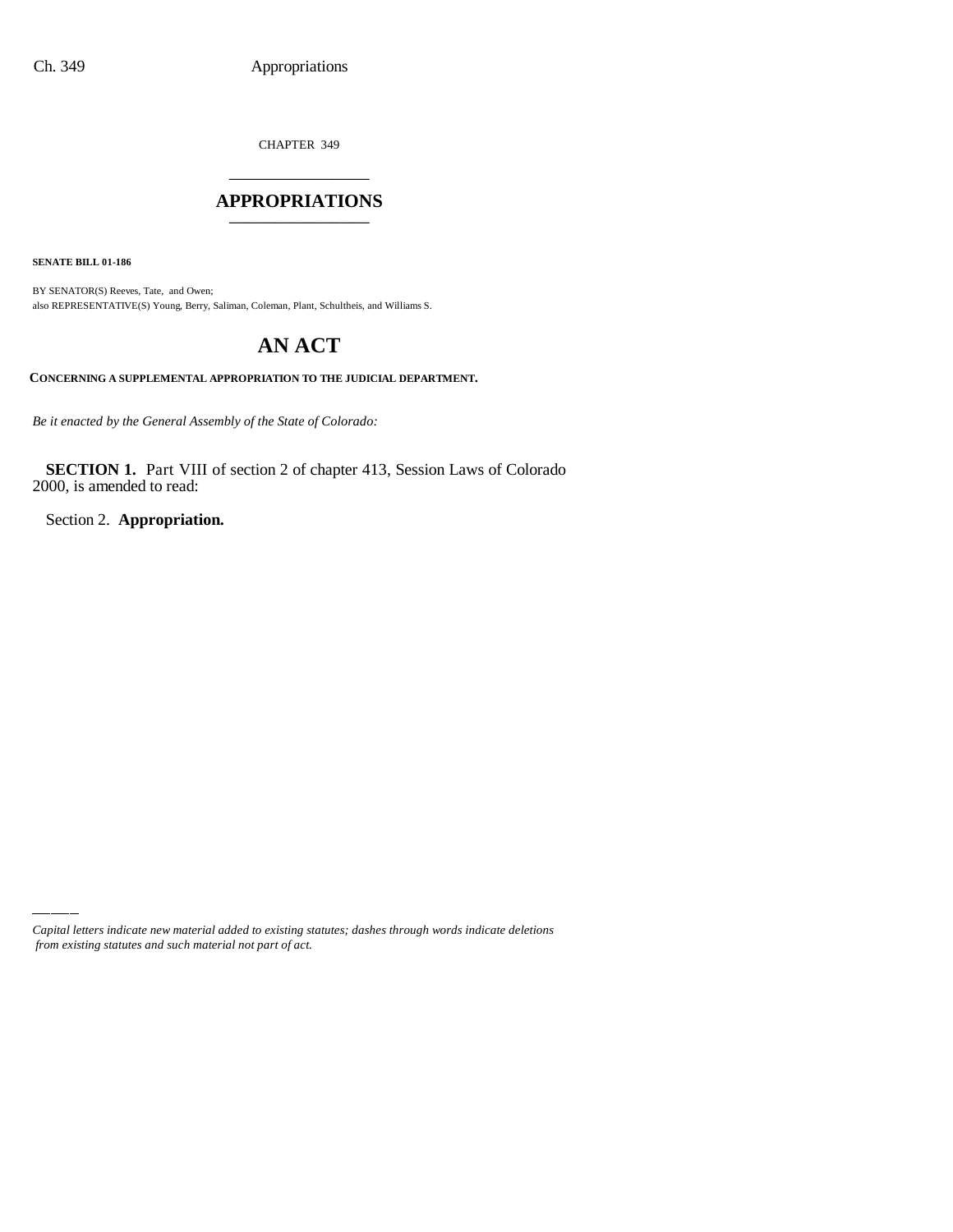CHAPTER 349 \_\_\_\_\_\_\_\_\_\_\_\_\_\_\_

#### **APPROPRIATIONS** \_\_\_\_\_\_\_\_\_\_\_\_\_\_\_

**SENATE BILL 01-186**

BY SENATOR(S) Reeves, Tate, and Owen; also REPRESENTATIVE(S) Young, Berry, Saliman, Coleman, Plant, Schultheis, and Williams S.

# **AN ACT**

**CONCERNING A SUPPLEMENTAL APPROPRIATION TO THE JUDICIAL DEPARTMENT.**

*Be it enacted by the General Assembly of the State of Colorado:*

**SECTION 1.** Part VIII of section 2 of chapter 413, Session Laws of Colorado 2000, is amended to read:

Section 2. **Appropriation.**

*Capital letters indicate new material added to existing statutes; dashes through words indicate deletions from existing statutes and such material not part of act.*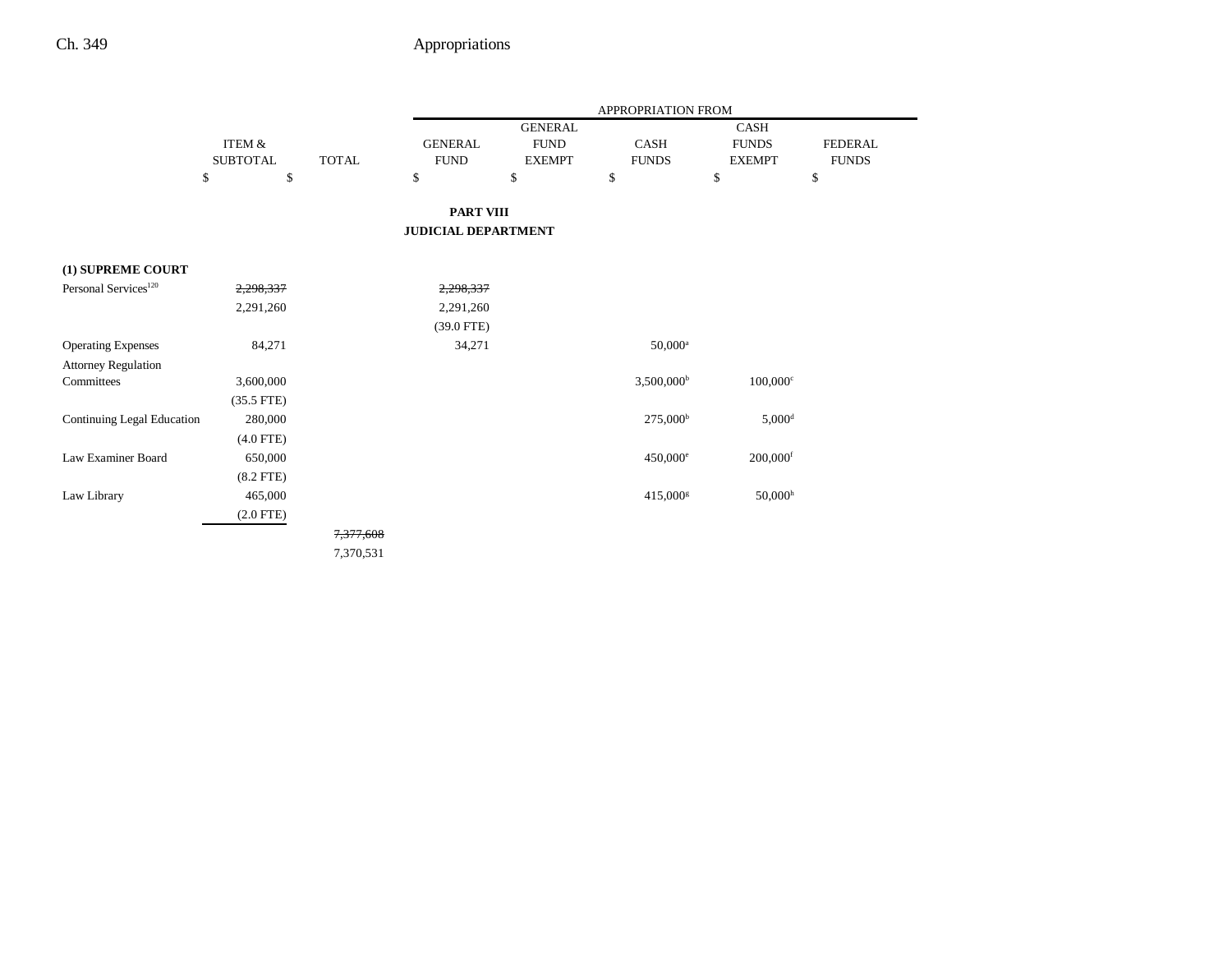|                                  |                 |              | APPROPRIATION FROM         |                |                        |                        |                |
|----------------------------------|-----------------|--------------|----------------------------|----------------|------------------------|------------------------|----------------|
|                                  |                 |              |                            | <b>GENERAL</b> |                        | CASH                   |                |
|                                  | ITEM &          |              | <b>GENERAL</b>             | <b>FUND</b>    | CASH                   | <b>FUNDS</b>           | <b>FEDERAL</b> |
|                                  | <b>SUBTOTAL</b> | <b>TOTAL</b> | <b>FUND</b>                | <b>EXEMPT</b>  | <b>FUNDS</b>           | <b>EXEMPT</b>          | <b>FUNDS</b>   |
|                                  | \$<br>\$        |              | \$                         | \$             | \$                     | \$                     | \$             |
|                                  |                 |              | <b>PART VIII</b>           |                |                        |                        |                |
|                                  |                 |              | <b>JUDICIAL DEPARTMENT</b> |                |                        |                        |                |
| (1) SUPREME COURT                |                 |              |                            |                |                        |                        |                |
| Personal Services <sup>120</sup> | 2,298,337       |              | 2,298,337                  |                |                        |                        |                |
|                                  | 2,291,260       |              | 2,291,260                  |                |                        |                        |                |
|                                  |                 |              | $(39.0$ FTE)               |                |                        |                        |                |
| <b>Operating Expenses</b>        | 84,271          |              | 34,271                     |                | $50,000^{\rm a}$       |                        |                |
| <b>Attorney Regulation</b>       |                 |              |                            |                |                        |                        |                |
| Committees                       | 3,600,000       |              |                            |                | $3,500,000^{\rm b}$    | $100,000$ <sup>c</sup> |                |
|                                  | $(35.5$ FTE)    |              |                            |                |                        |                        |                |
| Continuing Legal Education       | 280,000         |              |                            |                | $275,000^{\rm b}$      | $5,000$ <sup>d</sup>   |                |
|                                  | $(4.0$ FTE)     |              |                            |                |                        |                        |                |
| Law Examiner Board               | 650,000         |              |                            |                | $450,000^{\circ}$      | $200,000$ <sup>f</sup> |                |
|                                  | $(8.2$ FTE)     |              |                            |                |                        |                        |                |
| Law Library                      | 465,000         |              |                            |                | $415,000$ <sup>g</sup> | $50,000$ <sup>h</sup>  |                |
|                                  | $(2.0$ FTE)     |              |                            |                |                        |                        |                |
|                                  |                 | 7,377,608    |                            |                |                        |                        |                |
|                                  |                 | 7,370,531    |                            |                |                        |                        |                |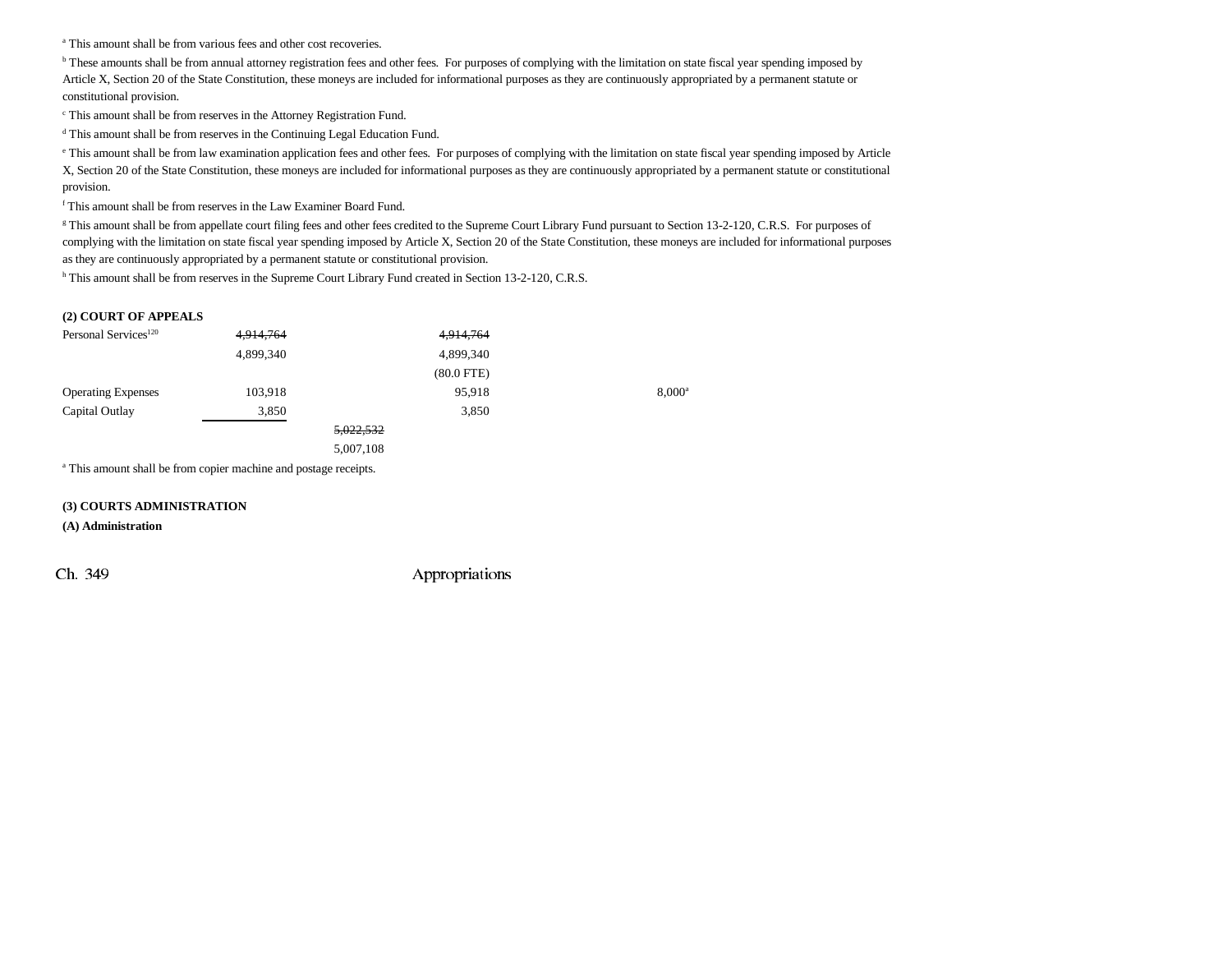a This amount shall be from various fees and other cost recoveries.

<sup>b</sup> These amounts shall be from annual attorney registration fees and other fees. For purposes of complying with the limitation on state fiscal year spending imposed by Article X, Section 20 of the State Constitution, these moneys are included for informational purposes as they are continuously appropriated by a permanent statute or constitutional provision.

c This amount shall be from reserves in the Attorney Registration Fund.

d This amount shall be from reserves in the Continuing Legal Education Fund.

e This amount shall be from law examination application fees and other fees. For purposes of complying with the limitation on state fiscal year spending imposed by Article X, Section 20 of the State Constitution, these moneys are included for informational purposes as they are continuously appropriated by a permanent statute or constitutional provision.

f This amount shall be from reserves in the Law Examiner Board Fund.

<sup>g</sup> This amount shall be from appellate court filing fees and other fees credited to the Supreme Court Library Fund pursuant to Section 13-2-120, C.R.S. For purposes of complying with the limitation on state fiscal year spending imposed by Article X, Section 20 of the State Constitution, these moneys are included for informational purposes as they are continuously appropriated by a permanent statute or constitutional provision.

h This amount shall be from reserves in the Supreme Court Library Fund created in Section 13-2-120, C.R.S.

#### **(2) COURT OF APPEALS**

| Personal Services <sup>120</sup> | 4,914,764 | 4,914,764       |                 |
|----------------------------------|-----------|-----------------|-----------------|
|                                  | 4,899,340 | 4,899,340       |                 |
|                                  |           | $(80.0$ FTE $)$ |                 |
| <b>Operating Expenses</b>        | 103,918   | 95,918          | $8,000^{\circ}$ |
| Capital Outlay                   | 3,850     | 3,850           |                 |
|                                  |           | 5,022,532       |                 |
|                                  |           | 5,007,108       |                 |

a This amount shall be from copier machine and postage receipts.

#### **(3) COURTS ADMINISTRATION**

**(A) Administration**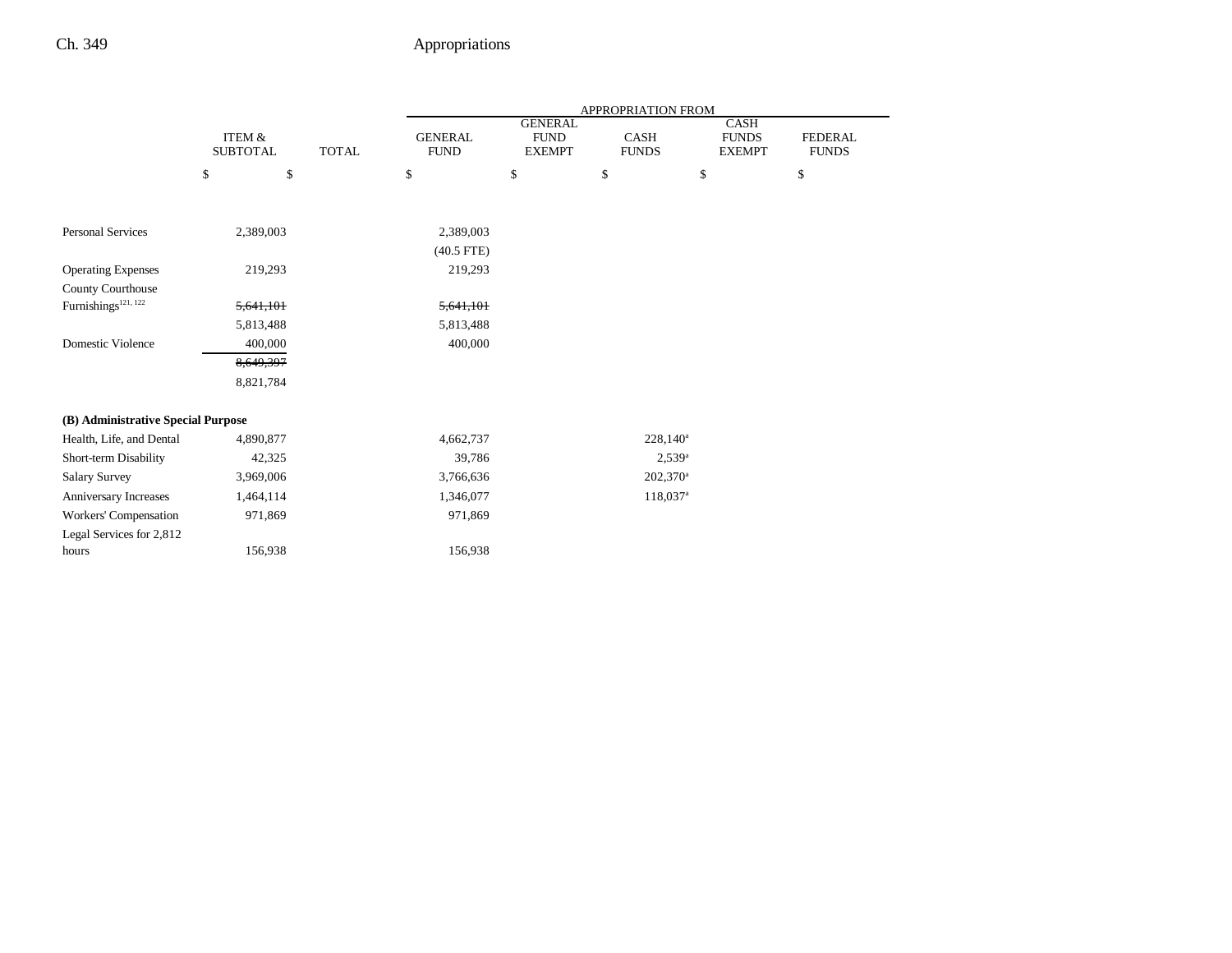|                                    |                                      |              | APPROPRIATION FROM            |                                                |                      |                                       |                                |  |
|------------------------------------|--------------------------------------|--------------|-------------------------------|------------------------------------------------|----------------------|---------------------------------------|--------------------------------|--|
|                                    | <b>ITEM &amp;</b><br><b>SUBTOTAL</b> | <b>TOTAL</b> | <b>GENERAL</b><br><b>FUND</b> | <b>GENERAL</b><br><b>FUND</b><br><b>EXEMPT</b> | CASH<br><b>FUNDS</b> | CASH<br><b>FUNDS</b><br><b>EXEMPT</b> | <b>FEDERAL</b><br><b>FUNDS</b> |  |
|                                    | \$<br>\$                             |              | \$                            | \$                                             | \$                   | \$                                    | \$                             |  |
|                                    |                                      |              |                               |                                                |                      |                                       |                                |  |
| <b>Personal Services</b>           | 2,389,003                            |              | 2,389,003                     |                                                |                      |                                       |                                |  |
|                                    |                                      |              | $(40.5$ FTE)                  |                                                |                      |                                       |                                |  |
| <b>Operating Expenses</b>          | 219,293                              |              | 219,293                       |                                                |                      |                                       |                                |  |
| County Courthouse                  |                                      |              |                               |                                                |                      |                                       |                                |  |
| Furnishings <sup>121, 122</sup>    | 5,641,101                            |              | 5,641,101                     |                                                |                      |                                       |                                |  |
|                                    | 5,813,488                            |              | 5,813,488                     |                                                |                      |                                       |                                |  |
| Domestic Violence                  | 400,000                              |              | 400,000                       |                                                |                      |                                       |                                |  |
|                                    | 8,649,397                            |              |                               |                                                |                      |                                       |                                |  |
|                                    | 8,821,784                            |              |                               |                                                |                      |                                       |                                |  |
| (B) Administrative Special Purpose |                                      |              |                               |                                                |                      |                                       |                                |  |
| Health, Life, and Dental           | 4,890,877                            |              | 4,662,737                     |                                                | $228,140^a$          |                                       |                                |  |
| Short-term Disability              | 42,325                               |              | 39,786                        |                                                | $2,539^a$            |                                       |                                |  |
| <b>Salary Survey</b>               | 3,969,006                            |              | 3,766,636                     |                                                | $202,370^a$          |                                       |                                |  |
| Anniversary Increases              | 1,464,114                            |              | 1,346,077                     |                                                | 118,037 <sup>a</sup> |                                       |                                |  |
| Workers' Compensation              | 971,869                              |              | 971,869                       |                                                |                      |                                       |                                |  |
| Legal Services for 2,812           |                                      |              |                               |                                                |                      |                                       |                                |  |
| hours                              | 156,938                              |              | 156,938                       |                                                |                      |                                       |                                |  |
|                                    |                                      |              |                               |                                                |                      |                                       |                                |  |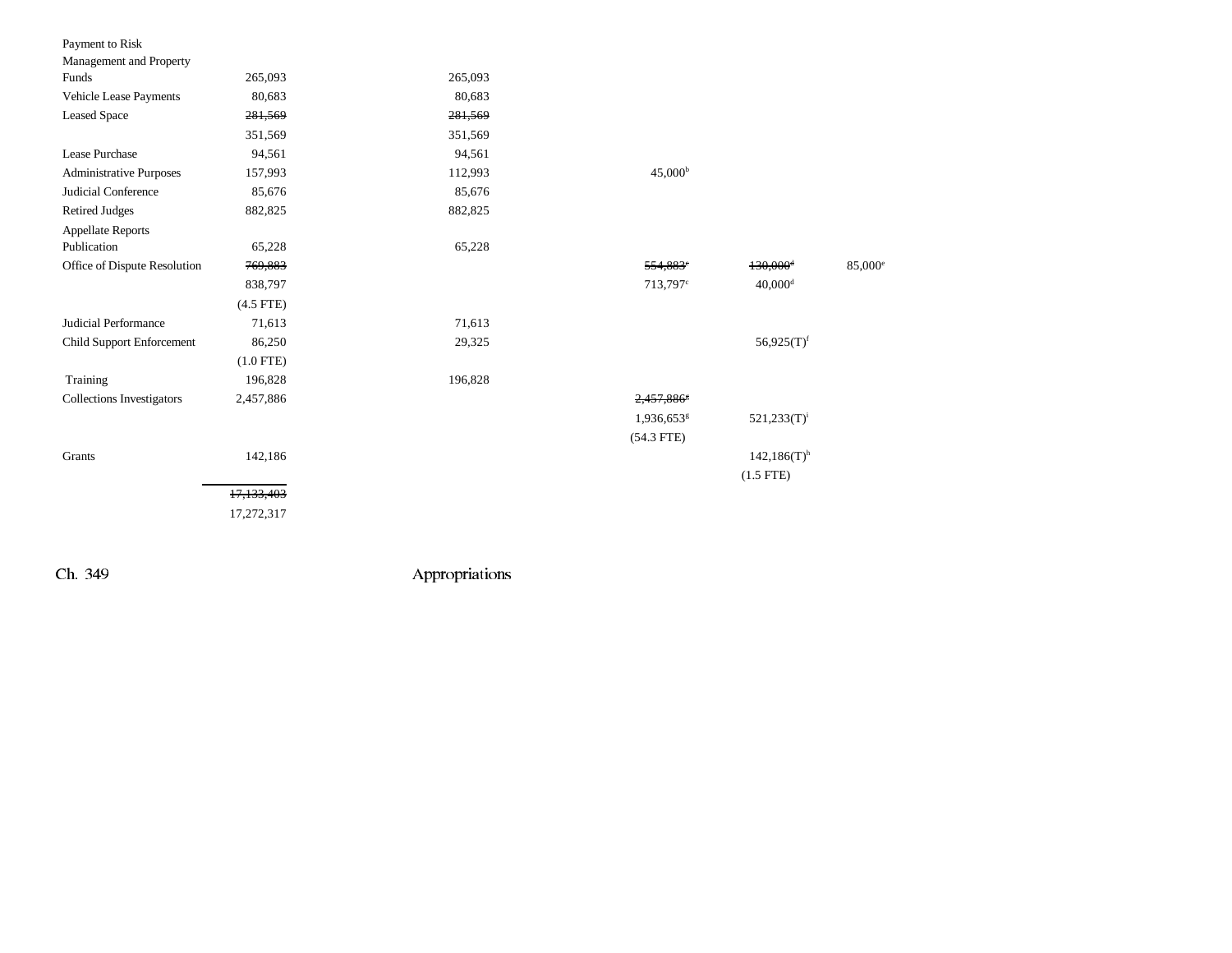| Payment to Risk                  |             |         |                        |                           |                     |
|----------------------------------|-------------|---------|------------------------|---------------------------|---------------------|
| Management and Property          |             |         |                        |                           |                     |
| Funds                            | 265,093     | 265,093 |                        |                           |                     |
| Vehicle Lease Payments           | 80,683      | 80,683  |                        |                           |                     |
| <b>Leased Space</b>              | 281,569     | 281,569 |                        |                           |                     |
|                                  | 351,569     | 351,569 |                        |                           |                     |
| Lease Purchase                   | 94,561      | 94,561  |                        |                           |                     |
| Administrative Purposes          | 157,993     | 112,993 | 45,000 <sup>b</sup>    |                           |                     |
| Judicial Conference              | 85,676      | 85,676  |                        |                           |                     |
| <b>Retired Judges</b>            | 882,825     | 882,825 |                        |                           |                     |
| <b>Appellate Reports</b>         |             |         |                        |                           |                     |
| Publication                      | 65,228      | 65,228  |                        |                           |                     |
| Office of Dispute Resolution     | 769,883     |         | 554,883 <sup>e</sup>   | $130,000$ <sup>d</sup>    | 85,000 <sup>e</sup> |
|                                  | 838,797     |         | 713,797 <sup>c</sup>   | $40,000$ <sup>d</sup>     |                     |
|                                  | $(4.5$ FTE) |         |                        |                           |                     |
| Judicial Performance             | 71,613      | 71,613  |                        |                           |                     |
| Child Support Enforcement        | 86,250      | 29,325  |                        | $56,925(T)^f$             |                     |
|                                  | $(1.0$ FTE) |         |                        |                           |                     |
| Training                         | 196,828     | 196,828 |                        |                           |                     |
| <b>Collections Investigators</b> | 2,457,886   |         | 2,457,8865             |                           |                     |
|                                  |             |         | 1,936,653 <sup>g</sup> | $521,233(T)^i$            |                     |
|                                  |             |         | $(54.3$ FTE)           |                           |                     |
| Grants                           | 142,186     |         |                        | $142,186(T)$ <sup>h</sup> |                     |
|                                  |             |         |                        | $(1.5$ FTE)               |                     |
|                                  | 17,133,403  |         |                        |                           |                     |
|                                  | 17,272,317  |         |                        |                           |                     |
|                                  |             |         |                        |                           |                     |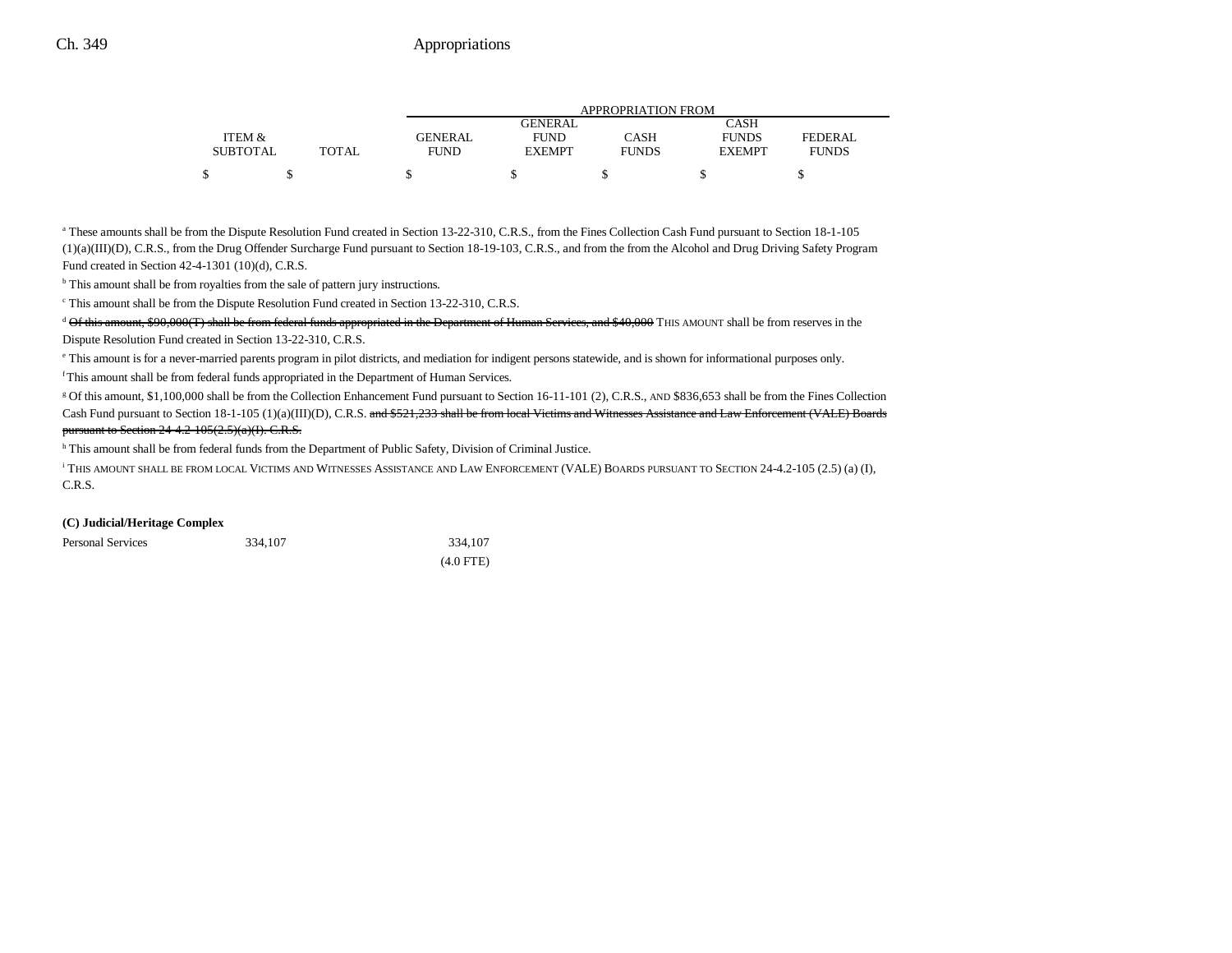|                 |              | <b>APPROPRIATION FROM</b> |               |              |               |              |  |
|-----------------|--------------|---------------------------|---------------|--------------|---------------|--------------|--|
|                 |              |                           | GENERAL       |              | CASH          |              |  |
| ITEM &          |              | <b>GENERAL</b>            | <b>FUND</b>   | CASH         | <b>FUNDS</b>  | FEDERAL      |  |
| <b>SUBTOTAL</b> | <b>TOTAL</b> | FUND                      | <b>EXEMPT</b> | <b>FUNDS</b> | <b>EXEMPT</b> | <b>FUNDS</b> |  |
| \$              |              |                           |               |              |               |              |  |

<sup>a</sup> These amounts shall be from the Dispute Resolution Fund created in Section 13-22-310, C.R.S., from the Fines Collection Cash Fund pursuant to Section 18-1-105 (1)(a)(III)(D), C.R.S., from the Drug Offender Surcharge Fund pursuant to Section 18-19-103, C.R.S., and from the from the Alcohol and Drug Driving Safety Program Fund created in Section 42-4-1301 (10)(d), C.R.S.

<sup>b</sup> This amount shall be from royalties from the sale of pattern jury instructions.

c This amount shall be from the Dispute Resolution Fund created in Section 13-22-310, C.R.S.

 $d\Theta$  of this amount, \$90,000(T) shall be from federal funds appropriated in the Department of Human Services, and \$40,000 THIS AMOUNT shall be from reserves in the Dispute Resolution Fund created in Section 13-22-310, C.R.S.

e This amount is for a never-married parents program in pilot districts, and mediation for indigent persons statewide, and is shown for informational purposes only.

f This amount shall be from federal funds appropriated in the Department of Human Services.

<sup>g</sup> Of this amount, \$1,100,000 shall be from the Collection Enhancement Fund pursuant to Section 16-11-101 (2), C.R.S., AND \$836,653 shall be from the Fines Collection Cash Fund pursuant to Section 18-1-105 (1)(a)(III)(D), C.R.S. and \$521,233 shall be from local Victims and Witnesses Assistance and Law Enforcement (VALE) Boards pursuant to Section 24-4.2-105(2.5)(a)(I). C.R.S.

h This amount shall be from federal funds from the Department of Public Safety, Division of Criminal Justice.

i THIS AMOUNT SHALL BE FROM LOCAL VICTIMS AND WITNESSES ASSISTANCE AND LAW ENFORCEMENT (VALE) BOARDS PURSUANT TO SECTION 24-4.2-105 (2.5) (a) (I), C.R.S.

#### **(C) Judicial/Heritage Complex**

| <b>Personal Services</b> | 334,107 | 334,107     |  |
|--------------------------|---------|-------------|--|
|                          |         | $(4.0$ FTE) |  |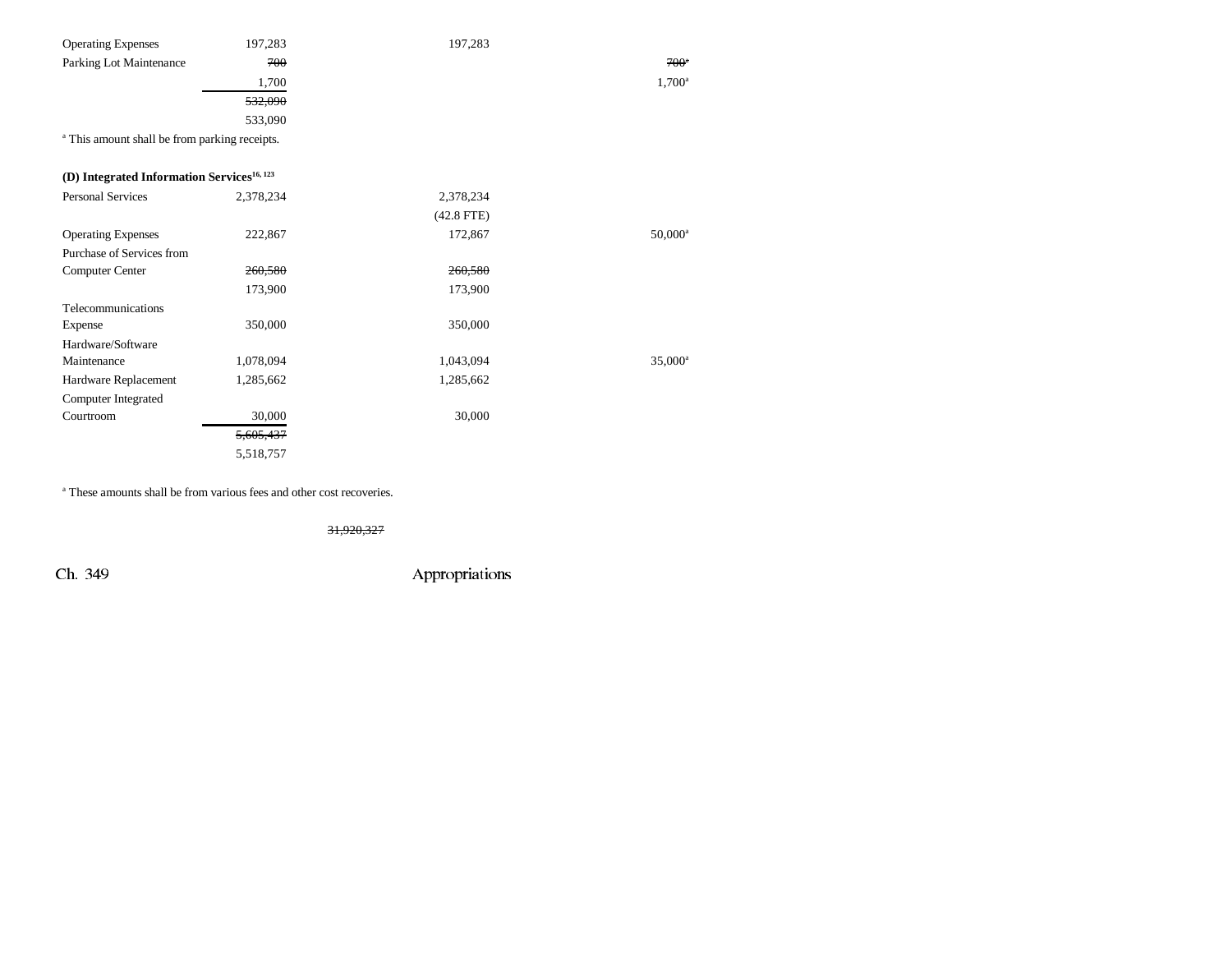| <b>Operating Expenses</b>                                | 197,283   | 197,283      |                       |
|----------------------------------------------------------|-----------|--------------|-----------------------|
| Parking Lot Maintenance                                  | 700       |              | $700^{\circ}$         |
|                                                          | 1,700     |              | $1,700^{\rm a}$       |
|                                                          | 532,090   |              |                       |
|                                                          | 533,090   |              |                       |
| <sup>a</sup> This amount shall be from parking receipts. |           |              |                       |
|                                                          |           |              |                       |
| (D) Integrated Information Services <sup>16, 123</sup>   |           |              |                       |
| <b>Personal Services</b>                                 | 2,378,234 | 2,378,234    |                       |
|                                                          |           | $(42.8$ FTE) |                       |
| <b>Operating Expenses</b>                                | 222,867   | 172,867      | $50,000$ <sup>a</sup> |
| Purchase of Services from                                |           |              |                       |
| Computer Center                                          | 260,580   | 260,580      |                       |
|                                                          | 173,900   | 173,900      |                       |
| Telecommunications                                       |           |              |                       |
| Expense                                                  | 350,000   | 350,000      |                       |
| Hardware/Software                                        |           |              |                       |
| Maintenance                                              | 1,078,094 | 1,043,094    | $35,000^{\rm a}$      |
| Hardware Replacement                                     | 1,285,662 | 1,285,662    |                       |
| Computer Integrated                                      |           |              |                       |
| Courtroom                                                | 30,000    | 30,000       |                       |
|                                                          | 5,605,437 |              |                       |
|                                                          | 5,518,757 |              |                       |

a These amounts shall be from various fees and other cost recoveries.

31,920,327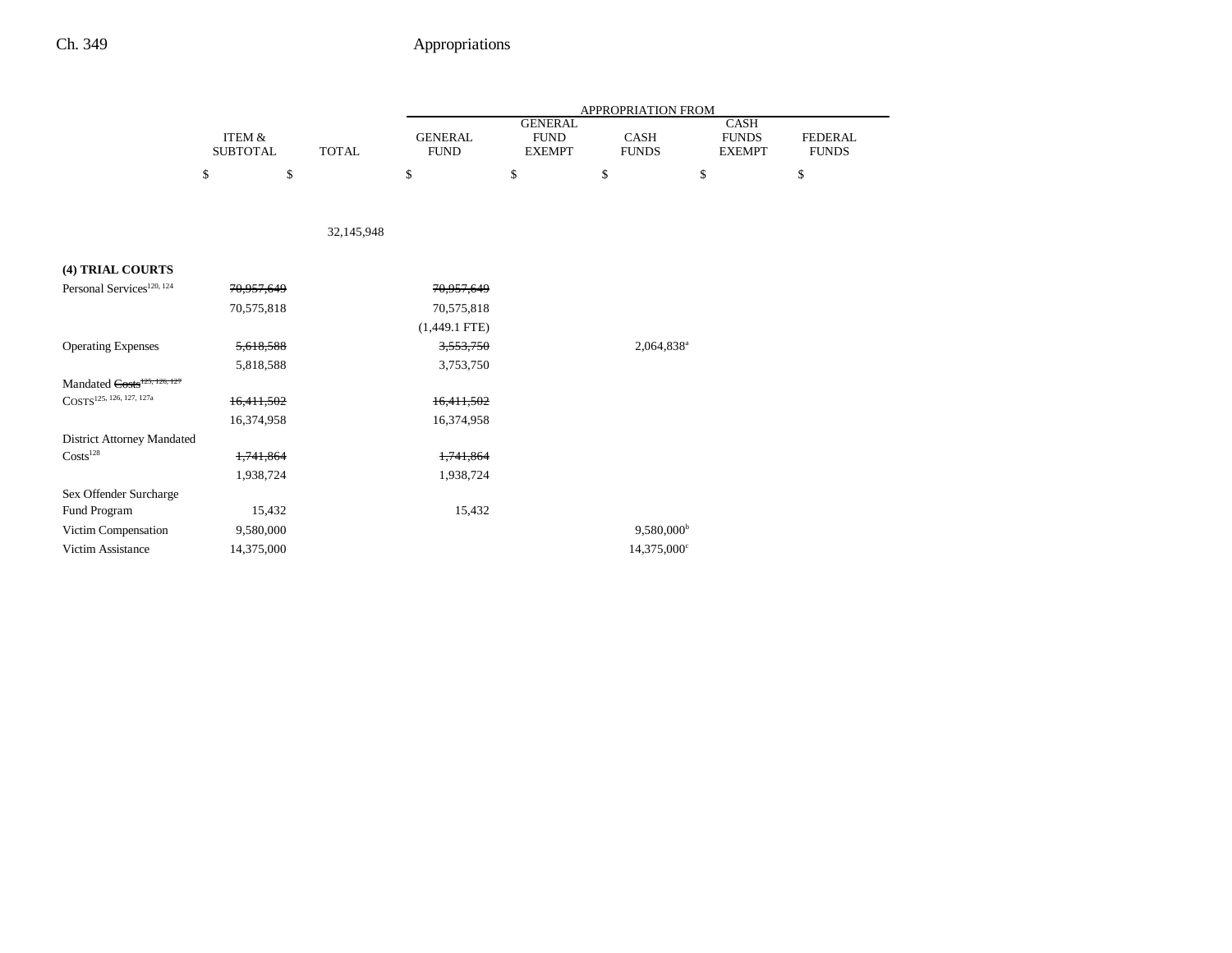|                                         |                           |              | APPROPRIATION FROM            |                                                |                        |                                              |                                |  |
|-----------------------------------------|---------------------------|--------------|-------------------------------|------------------------------------------------|------------------------|----------------------------------------------|--------------------------------|--|
|                                         | ITEM &<br><b>SUBTOTAL</b> | <b>TOTAL</b> | <b>GENERAL</b><br><b>FUND</b> | <b>GENERAL</b><br><b>FUND</b><br><b>EXEMPT</b> | CASH<br><b>FUNDS</b>   | <b>CASH</b><br><b>FUNDS</b><br><b>EXEMPT</b> | <b>FEDERAL</b><br><b>FUNDS</b> |  |
|                                         | \$<br>\$                  |              | \$                            | \$                                             | \$                     | \$                                           | \$                             |  |
|                                         |                           |              |                               |                                                |                        |                                              |                                |  |
|                                         |                           | 32,145,948   |                               |                                                |                        |                                              |                                |  |
| (4) TRIAL COURTS                        |                           |              |                               |                                                |                        |                                              |                                |  |
| Personal Services <sup>120, 124</sup>   | 70,957,649                |              | 70,957,649                    |                                                |                        |                                              |                                |  |
|                                         | 70,575,818                |              | 70,575,818                    |                                                |                        |                                              |                                |  |
|                                         |                           |              | $(1,449.1$ FTE)               |                                                |                        |                                              |                                |  |
| <b>Operating Expenses</b>               | 5,618,588                 |              | 3,553,750                     |                                                | 2,064,838 <sup>a</sup> |                                              |                                |  |
|                                         | 5,818,588                 |              | 3,753,750                     |                                                |                        |                                              |                                |  |
| Mandated Costs <sup>125, 126, 127</sup> |                           |              |                               |                                                |                        |                                              |                                |  |
| COSTS <sup>125, 126, 127, 127a</sup>    | 16,411,502                |              | 16,411,502                    |                                                |                        |                                              |                                |  |
|                                         | 16,374,958                |              | 16,374,958                    |                                                |                        |                                              |                                |  |
| <b>District Attorney Mandated</b>       |                           |              |                               |                                                |                        |                                              |                                |  |
| Costs <sup>128</sup>                    | 1,741,864                 |              | 1,741,864                     |                                                |                        |                                              |                                |  |
|                                         | 1,938,724                 |              | 1,938,724                     |                                                |                        |                                              |                                |  |
| Sex Offender Surcharge                  |                           |              |                               |                                                |                        |                                              |                                |  |
| Fund Program                            | 15,432                    |              | 15,432                        |                                                |                        |                                              |                                |  |
| Victim Compensation                     | 9,580,000                 |              |                               |                                                | 9,580,000 <sup>b</sup> |                                              |                                |  |
| Victim Assistance                       | 14,375,000                |              |                               |                                                | 14,375,000°            |                                              |                                |  |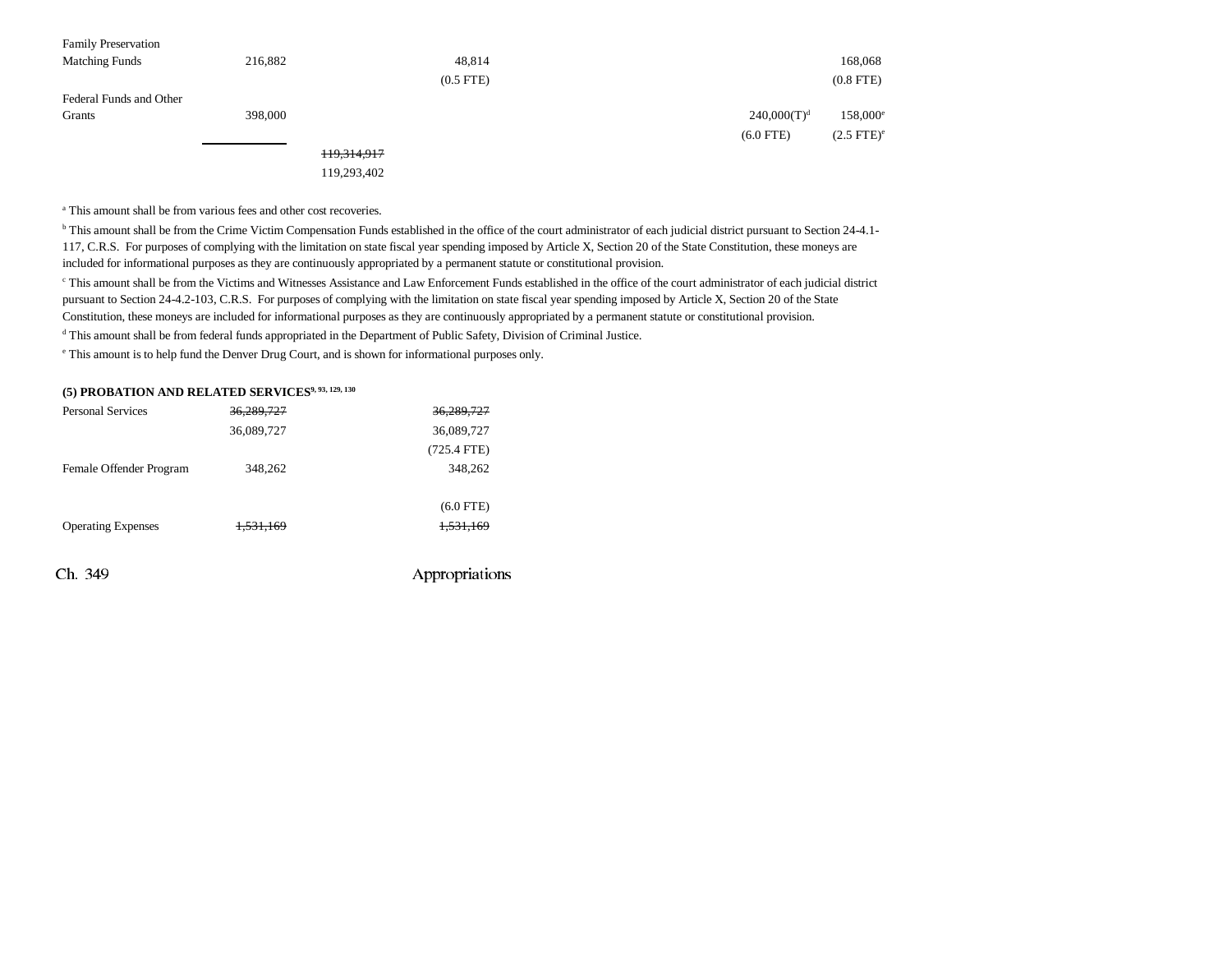| <b>Family Preservation</b> |         |             |                |                |                      |
|----------------------------|---------|-------------|----------------|----------------|----------------------|
| <b>Matching Funds</b>      | 216,882 |             | 48,814         |                | 168,068              |
|                            |         |             | $(0.5$ FTE $)$ |                | $(0.8$ FTE $)$       |
| Federal Funds and Other    |         |             |                |                |                      |
| Grants                     | 398,000 |             |                | $240,000(T)^d$ | 158,000 <sup>e</sup> |
|                            |         |             |                | $(6.0$ FTE)    | $(2.5$ FTE $)^e$     |
|                            |         | 119,314,917 |                |                |                      |
|                            |         | 119,293,402 |                |                |                      |

<sup>a</sup> This amount shall be from various fees and other cost recoveries.

b This amount shall be from the Crime Victim Compensation Funds established in the office of the court administrator of each judicial district pursuant to Section 24-4.1- 117, C.R.S. For purposes of complying with the limitation on state fiscal year spending imposed by Article X, Section 20 of the State Constitution, these moneys are included for informational purposes as they are continuously appropriated by a permanent statute or constitutional provision.

c This amount shall be from the Victims and Witnesses Assistance and Law Enforcement Funds established in the office of the court administrator of each judicial district pursuant to Section 24-4.2-103, C.R.S. For purposes of complying with the limitation on state fiscal year spending imposed by Article X, Section 20 of the State

Constitution, these moneys are included for informational purposes as they are continuously appropriated by a permanent statute or constitutional provision.

d This amount shall be from federal funds appropriated in the Department of Public Safety, Division of Criminal Justice.

e This amount is to help fund the Denver Drug Court, and is shown for informational purposes only.

|                          | (5) PROBATION AND RELATED SERVICES <sup>9, 93, 129, 130</sup> |
|--------------------------|---------------------------------------------------------------|
| <b>Personal Services</b> | 36.289.727                                                    |

| Ch. 349                   |                      | Appropriations |
|---------------------------|----------------------|----------------|
| <b>Operating Expenses</b> | <del>1,531,169</del> | 1,531,169      |
|                           |                      | $(6.0$ FTE)    |
| Female Offender Program   | 348,262              | 348,262        |
|                           |                      | $(725.4$ FTE)  |
|                           | 36,089,727           | 36,089,727     |
| Personal Services         | 36.289.727           | 36,289,727     |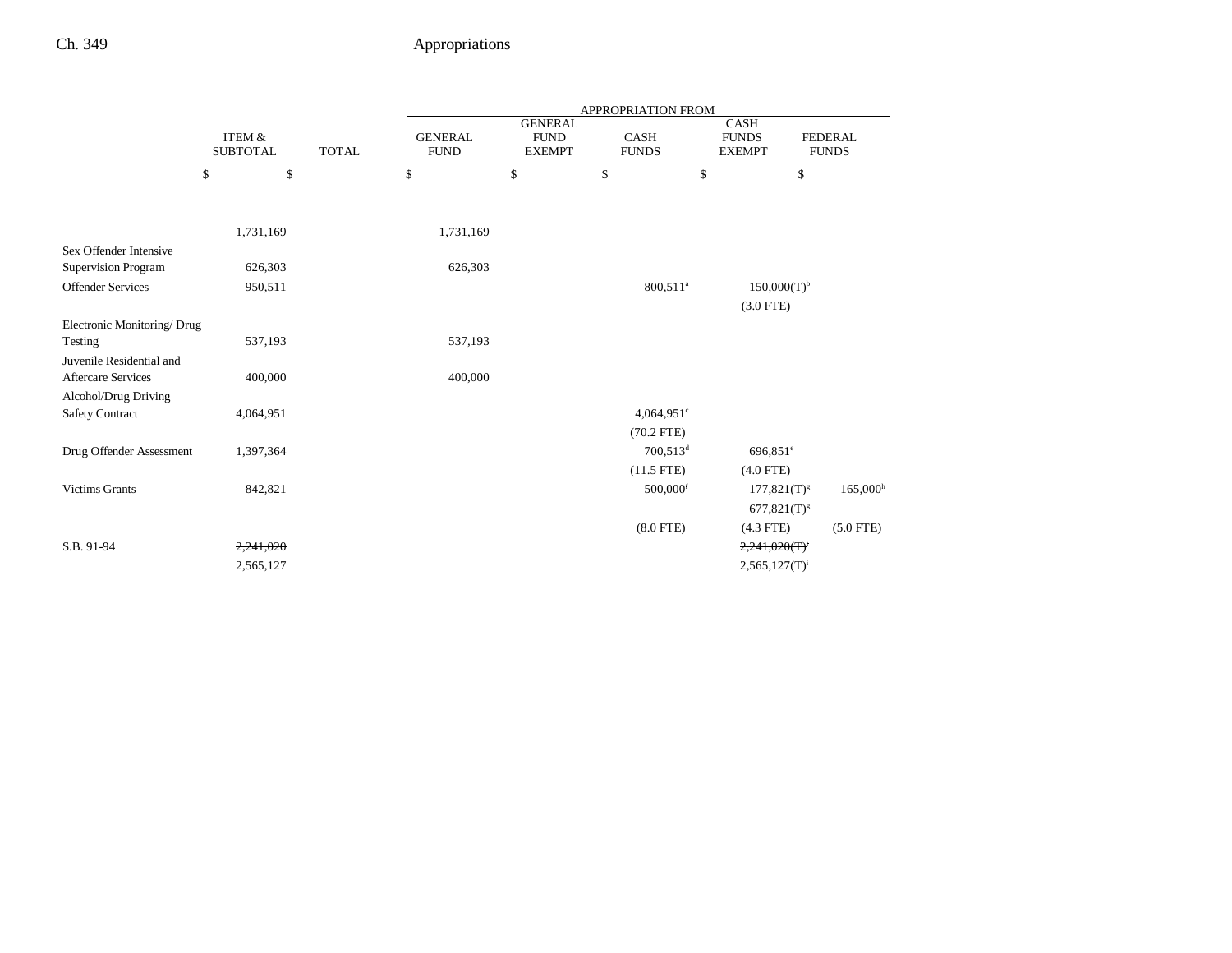|                                                      |                                              | <b>APPROPRIATION FROM</b>     |                                                |                                            |                                              |                                                                                                                                                                                                                       |  |
|------------------------------------------------------|----------------------------------------------|-------------------------------|------------------------------------------------|--------------------------------------------|----------------------------------------------|-----------------------------------------------------------------------------------------------------------------------------------------------------------------------------------------------------------------------|--|
| <b>ITEM &amp;</b><br><b>SUBTOTAL</b><br><b>TOTAL</b> |                                              | <b>GENERAL</b><br><b>FUND</b> | <b>GENERAL</b><br><b>FUND</b><br><b>EXEMPT</b> | <b>CASH</b><br><b>FUNDS</b>                | <b>CASH</b><br><b>FUNDS</b><br><b>EXEMPT</b> | <b>FEDERAL</b><br><b>FUNDS</b>                                                                                                                                                                                        |  |
| \$                                                   |                                              | \$                            | \$                                             | \$                                         | \$                                           | \$                                                                                                                                                                                                                    |  |
|                                                      |                                              |                               |                                                |                                            |                                              |                                                                                                                                                                                                                       |  |
| 1,731,169                                            |                                              |                               |                                                |                                            |                                              |                                                                                                                                                                                                                       |  |
|                                                      |                                              |                               |                                                |                                            |                                              |                                                                                                                                                                                                                       |  |
| 626,303                                              |                                              |                               |                                                |                                            |                                              |                                                                                                                                                                                                                       |  |
| 950,511                                              |                                              |                               |                                                | 800,511 <sup>a</sup>                       |                                              |                                                                                                                                                                                                                       |  |
|                                                      |                                              |                               |                                                |                                            |                                              |                                                                                                                                                                                                                       |  |
| Electronic Monitoring/Drug                           |                                              |                               |                                                |                                            |                                              |                                                                                                                                                                                                                       |  |
|                                                      |                                              |                               |                                                |                                            |                                              |                                                                                                                                                                                                                       |  |
|                                                      |                                              |                               |                                                |                                            |                                              |                                                                                                                                                                                                                       |  |
|                                                      |                                              |                               |                                                |                                            |                                              |                                                                                                                                                                                                                       |  |
|                                                      |                                              |                               |                                                |                                            |                                              |                                                                                                                                                                                                                       |  |
|                                                      |                                              |                               |                                                |                                            |                                              |                                                                                                                                                                                                                       |  |
|                                                      |                                              |                               |                                                |                                            |                                              |                                                                                                                                                                                                                       |  |
|                                                      |                                              |                               |                                                |                                            |                                              |                                                                                                                                                                                                                       |  |
| 842,821                                              |                                              |                               |                                                | 500,000                                    |                                              | 165,000 <sup>h</sup>                                                                                                                                                                                                  |  |
|                                                      |                                              |                               |                                                |                                            |                                              |                                                                                                                                                                                                                       |  |
|                                                      |                                              |                               |                                                | $(8.0$ FTE $)$                             |                                              | $(5.0$ FTE)                                                                                                                                                                                                           |  |
| 2,241,020                                            |                                              |                               |                                                |                                            |                                              |                                                                                                                                                                                                                       |  |
| 2,565,127                                            |                                              |                               |                                                |                                            |                                              |                                                                                                                                                                                                                       |  |
|                                                      | 537,193<br>400,000<br>4,064,951<br>1,397,364 | \$                            |                                                | 1,731,169<br>626,303<br>537,193<br>400,000 | $(70.2$ FTE)<br>$(11.5$ FTE)                 | $150,000(T)^{b}$<br>$(3.0$ FTE)<br>$4,064,951$ <sup>c</sup><br>700,513 <sup>d</sup><br>696,851 <sup>e</sup><br>$(4.0$ FTE)<br>$177,821(T)^8$<br>$677,821(T)^{g}$<br>$(4.3$ FTE)<br>2,241,020(T)<br>$2,565,127(T)^{i}$ |  |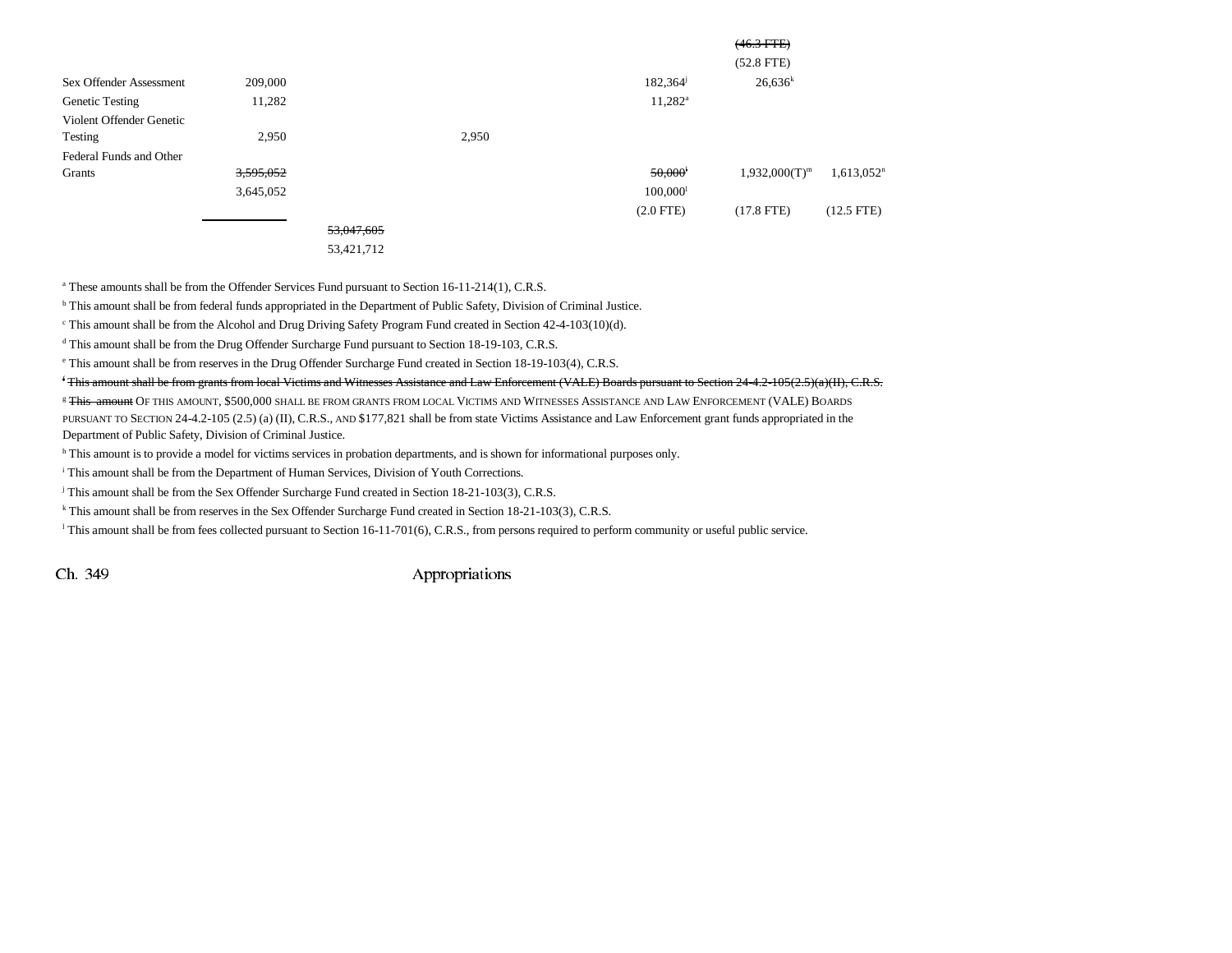|                          |           |            |       |                        | $(46.3 \text{ FFE})$ |               |
|--------------------------|-----------|------------|-------|------------------------|----------------------|---------------|
|                          |           |            |       |                        | $(52.8$ FTE)         |               |
| Sex Offender Assessment  | 209,000   |            |       | 182,364                | $26,636^k$           |               |
| <b>Genetic Testing</b>   | 11,282    |            |       | $11,282^{\rm a}$       |                      |               |
| Violent Offender Genetic |           |            |       |                        |                      |               |
| Testing                  | 2,950     |            | 2,950 |                        |                      |               |
| Federal Funds and Other  |           |            |       |                        |                      |               |
| Grants                   | 3,595,052 |            |       | 50,000                 | $1,932,000(T)^{m}$   | $1,613,052^n$ |
|                          | 3,645,052 |            |       | $100,000$ <sup>1</sup> |                      |               |
|                          |           |            |       | $(2.0$ FTE)            | $(17.8$ FTE)         | $(12.5$ FTE)  |
|                          |           | 53,047,605 |       |                        |                      |               |
|                          |           | 53,421,712 |       |                        |                      |               |

<sup>a</sup> These amounts shall be from the Offender Services Fund pursuant to Section 16-11-214(1), C.R.S.

b This amount shall be from federal funds appropriated in the Department of Public Safety, Division of Criminal Justice.

c This amount shall be from the Alcohol and Drug Driving Safety Program Fund created in Section 42-4-103(10)(d).

<sup>d</sup> This amount shall be from the Drug Offender Surcharge Fund pursuant to Section 18-19-103, C.R.S.

e This amount shall be from reserves in the Drug Offender Surcharge Fund created in Section 18-19-103(4), C.R.S.

f This amount shall be from grants from local Victims and Witnesses Assistance and Law Enforcement (VALE) Boards pursuant to Section 24-4.2-105(2.5)(a)(II), C.R.S.

<sup>g</sup> <del>This-amount</del> Of this amount, \$500,000 shall be from grants from local Victims and Witnesses Assistance and Law Enforcement (VALE) Boards PURSUANT TO SECTION 24-4.2-105 (2.5) (a) (II), C.R.S., AND \$177,821 shall be from state Victims Assistance and Law Enforcement grant funds appropriated in the Department of Public Safety, Division of Criminal Justice.

h This amount is to provide a model for victims services in probation departments, and is shown for informational purposes only.

i This amount shall be from the Department of Human Services, Division of Youth Corrections.

<sup>j</sup> This amount shall be from the Sex Offender Surcharge Fund created in Section 18-21-103(3), C.R.S.

k This amount shall be from reserves in the Sex Offender Surcharge Fund created in Section 18-21-103(3), C.R.S.

l This amount shall be from fees collected pursuant to Section 16-11-701(6), C.R.S., from persons required to perform community or useful public service.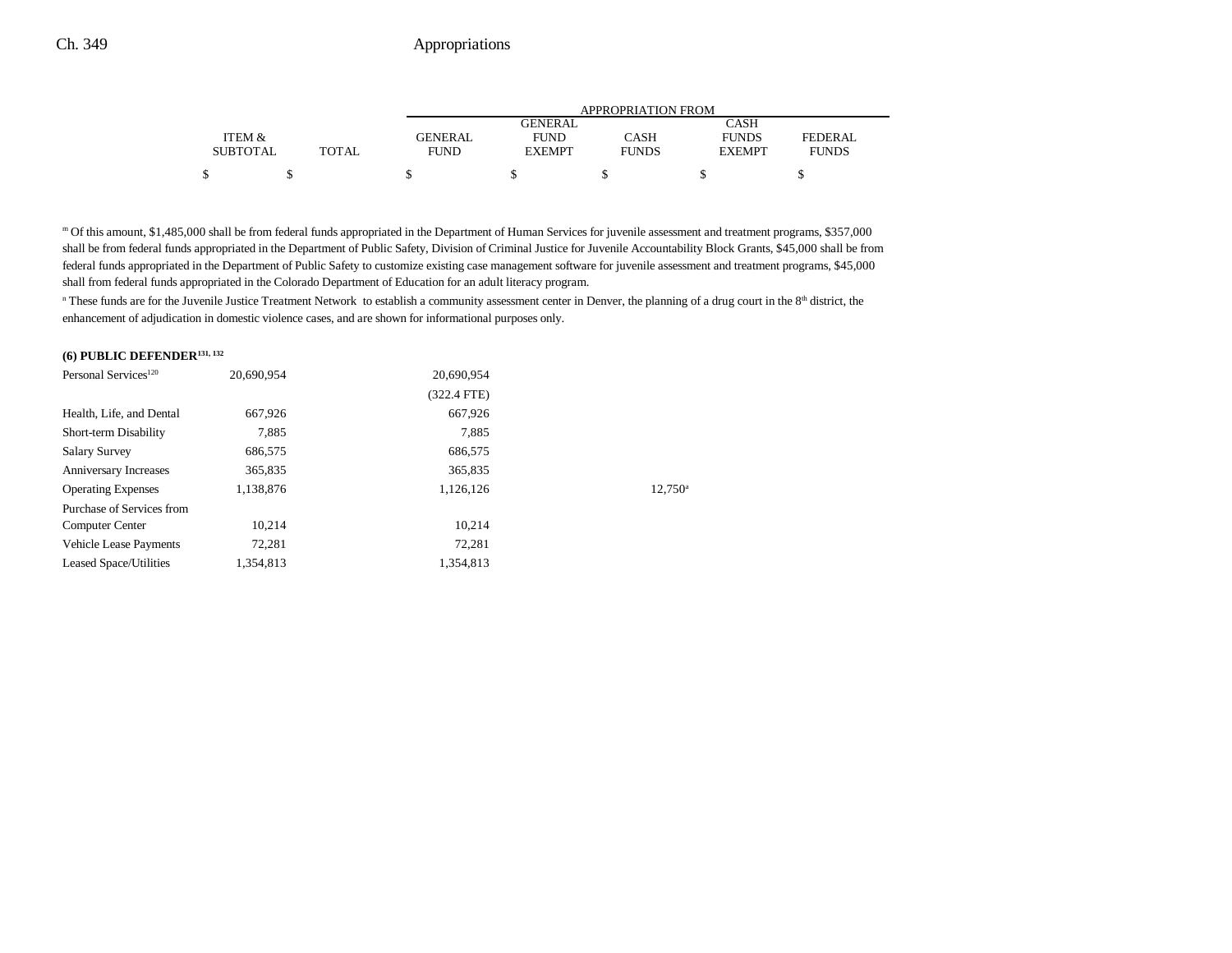|                 |              | <b>APPROPRIATION FROM</b> |               |              |               |              |
|-----------------|--------------|---------------------------|---------------|--------------|---------------|--------------|
|                 |              |                           | GENERAL       |              | CASH          |              |
| ITEM &          |              | <b>GENERAL</b>            | <b>FUND</b>   | CASH         | <b>FUNDS</b>  | FEDERAL      |
| <b>SUBTOTAL</b> | <b>TOTAL</b> | FUND                      | <b>EXEMPT</b> | <b>FUNDS</b> | <b>EXEMPT</b> | <b>FUNDS</b> |
| \$              |              |                           |               |              |               |              |

m Of this amount, \$1,485,000 shall be from federal funds appropriated in the Department of Human Services for juvenile assessment and treatment programs, \$357,000 shall be from federal funds appropriated in the Department of Public Safety, Division of Criminal Justice for Juvenile Accountability Block Grants, \$45,000 shall be from federal funds appropriated in the Department of Public Safety to customize existing case management software for juvenile assessment and treatment programs, \$45,000 shall from federal funds appropriated in the Colorado Department of Education for an adult literacy program.

<sup>n</sup> These funds are for the Juvenile Justice Treatment Network to establish a community assessment center in Denver, the planning of a drug court in the 8<sup>th</sup> district, the enhancement of adjudication in domestic violence cases, and are shown for informational purposes only.

### **(6) PUBLIC DEFENDER131, 132**

| $12.750^{\circ}$ |
|------------------|
|                  |
|                  |
|                  |
|                  |
|                  |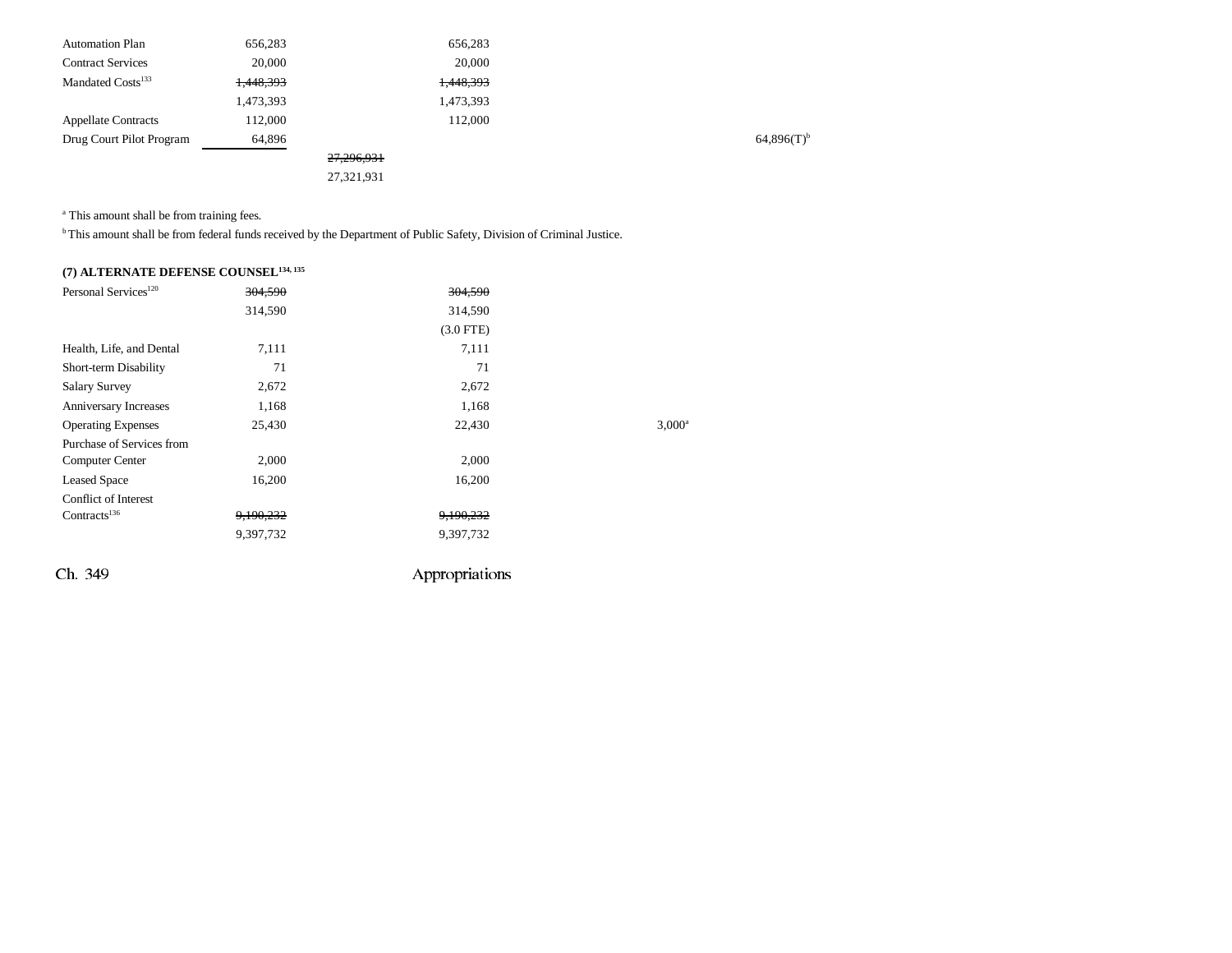| 656,283   |            | 656,283   |
|-----------|------------|-----------|
| 20,000    |            | 20,000    |
| 1,448,393 |            | 1,448,393 |
| 1,473,393 |            | 1,473,393 |
| 112,000   |            | 112,000   |
| 64,896    |            |           |
|           | 27,296,931 |           |
|           | 27,321,931 |           |
|           |            |           |

<sup>a</sup> This amount shall be from training fees.

b This amount shall be from federal funds received by the Department of Public Safety, Division of Criminal Justice.

| (7) ALTERNATE DEFENSE COUNSEL <sup>134, 135</sup> |  |
|---------------------------------------------------|--|
|---------------------------------------------------|--|

| Personal Services <sup>120</sup> | 304,590   | 304.590        |                    |
|----------------------------------|-----------|----------------|--------------------|
|                                  | 314,590   | 314,590        |                    |
|                                  |           | $(3.0$ FTE)    |                    |
| Health, Life, and Dental         | 7,111     | 7,111          |                    |
| Short-term Disability            | 71        | 71             |                    |
| <b>Salary Survey</b>             | 2,672     | 2,672          |                    |
| Anniversary Increases            | 1,168     | 1,168          |                    |
| <b>Operating Expenses</b>        | 25,430    | 22,430         | 3.000 <sup>a</sup> |
| Purchase of Services from        |           |                |                    |
| <b>Computer Center</b>           | 2,000     | 2,000          |                    |
| <b>Leased Space</b>              | 16,200    | 16,200         |                    |
| <b>Conflict of Interest</b>      |           |                |                    |
| Contracts <sup>136</sup>         | 9,190,232 | 9,190,232      |                    |
|                                  | 9,397,732 | 9,397,732      |                    |
| Ch. 349                          |           | Appropriations |                    |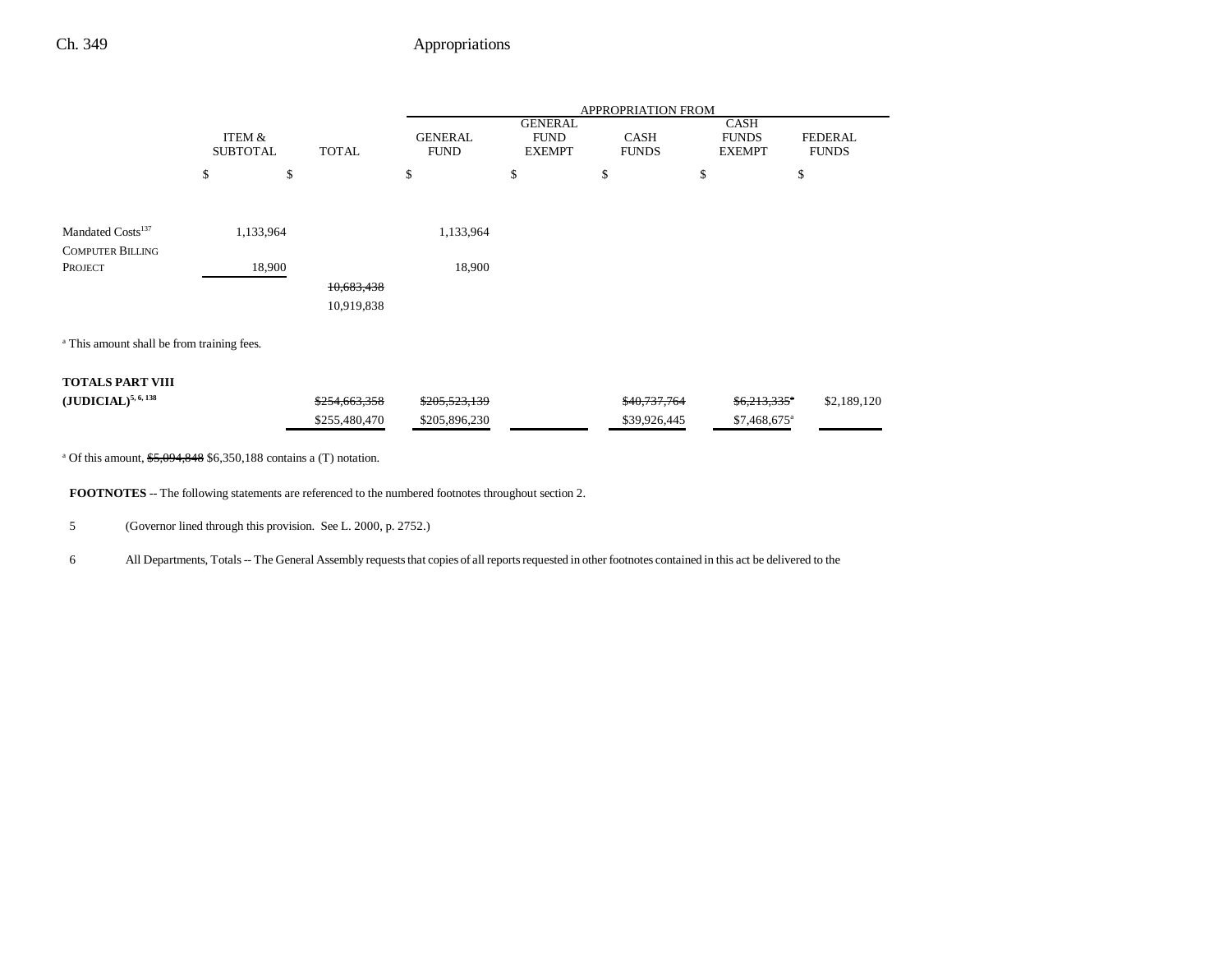|                                                          |                           |               |                               |                                                | APPROPRIATION FROM          |                                              |                                |
|----------------------------------------------------------|---------------------------|---------------|-------------------------------|------------------------------------------------|-----------------------------|----------------------------------------------|--------------------------------|
|                                                          | ITEM &<br><b>SUBTOTAL</b> | <b>TOTAL</b>  | <b>GENERAL</b><br><b>FUND</b> | <b>GENERAL</b><br><b>FUND</b><br><b>EXEMPT</b> | <b>CASH</b><br><b>FUNDS</b> | <b>CASH</b><br><b>FUNDS</b><br><b>EXEMPT</b> | <b>FEDERAL</b><br><b>FUNDS</b> |
|                                                          | \$                        | \$            | \$                            | \$                                             | \$                          | \$                                           | \$                             |
|                                                          |                           |               |                               |                                                |                             |                                              |                                |
| Mandated Costs <sup>137</sup><br><b>COMPUTER BILLING</b> | 1,133,964                 |               | 1,133,964                     |                                                |                             |                                              |                                |
| PROJECT                                                  | 18,900                    |               | 18,900                        |                                                |                             |                                              |                                |
|                                                          |                           | 10,683,438    |                               |                                                |                             |                                              |                                |
|                                                          |                           | 10,919,838    |                               |                                                |                             |                                              |                                |
| <sup>a</sup> This amount shall be from training fees.    |                           |               |                               |                                                |                             |                                              |                                |
| <b>TOTALS PART VIII</b>                                  |                           |               |                               |                                                |                             |                                              |                                |
| $({\bf JUDICIAL})^{5,6,138}$                             |                           | \$254,663,358 | \$205,523,139                 |                                                | \$40,737,764                | \$6,213,335"                                 | \$2,189,120                    |
|                                                          |                           | \$255,480,470 | \$205,896,230                 |                                                | \$39,926,445                | $$7,468,675$ <sup>a</sup>                    |                                |

<sup>a</sup> Of this amount, \$5,094,848 \$6,350,188 contains a (T) notation.

**FOOTNOTES** -- The following statements are referenced to the numbered footnotes throughout section 2.

5 (Governor lined through this provision. See L. 2000, p. 2752.)

6 All Departments, Totals -- The General Assembly requests that copies of all reports requested in other footnotes contained in this act be delivered to the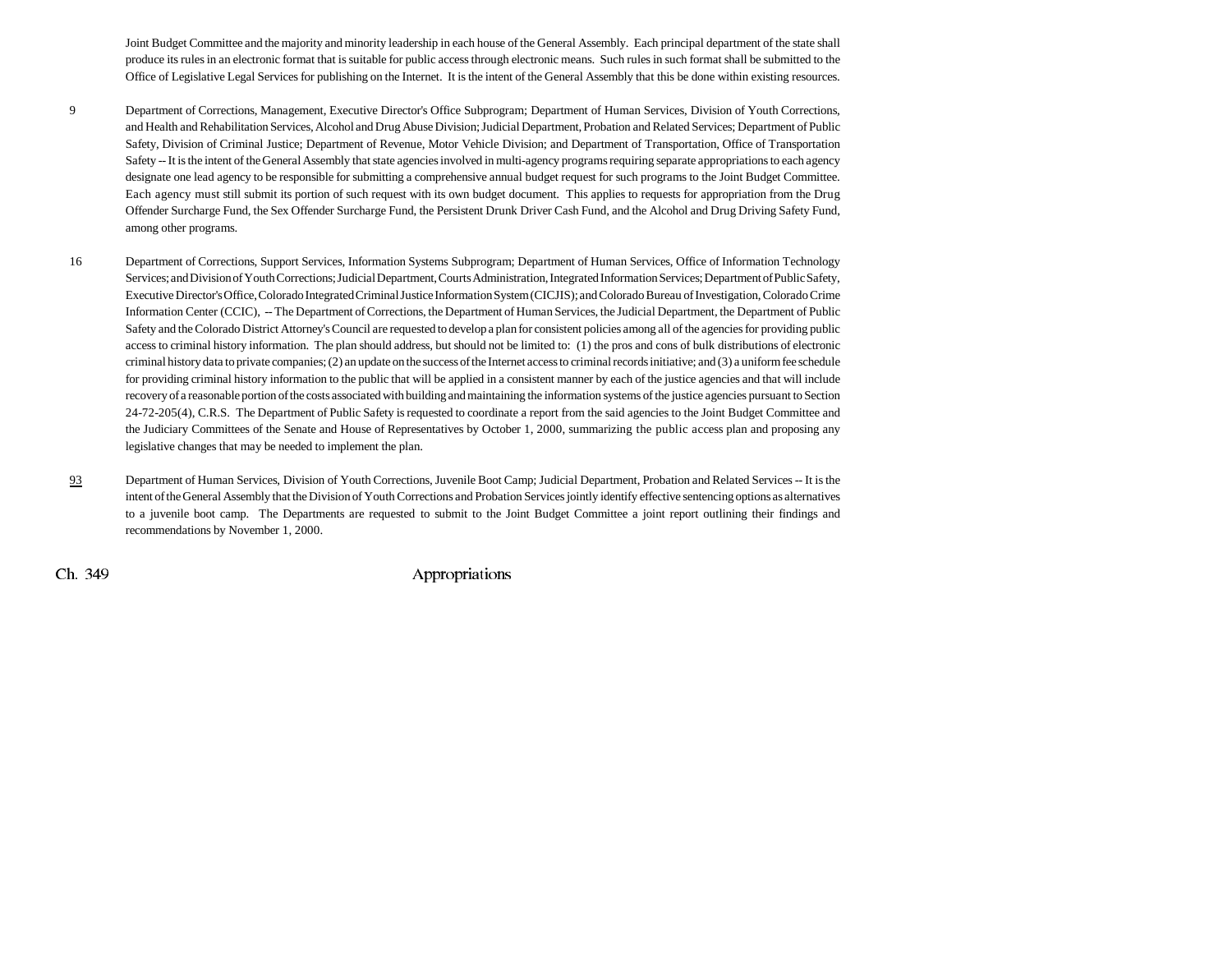Joint Budget Committee and the majority and minority leadership in each house of the General Assembly. Each principal department of the state shall produce its rules in an electronic format that is suitable for public access through electronic means. Such rules in such format shall be submitted to the Office of Legislative Legal Services for publishing on the Internet. It is the intent of the General Assembly that this be done within existing resources.

- 9 Department of Corrections, Management, Executive Director's Office Subprogram; Department of Human Services, Division of Youth Corrections, and Health and Rehabilitation Services, Alcohol and Drug Abuse Division; Judicial Department, Probation and Related Services; Department of Public Safety, Division of Criminal Justice; Department of Revenue, Motor Vehicle Division; and Department of Transportation, Office of Transportation Safety -- It is the intent of the General Assembly that state agencies involved in multi-agency programs requiring separate appropriations to each agency designate one lead agency to be responsible for submitting a comprehensive annual budget request for such programs to the Joint Budget Committee. Each agency must still submit its portion of such request with its own budget document. This applies to requests for appropriation from the Drug Offender Surcharge Fund, the Sex Offender Surcharge Fund, the Persistent Drunk Driver Cash Fund, and the Alcohol and Drug Driving Safety Fund, among other programs.
- 16 Department of Corrections, Support Services, Information Systems Subprogram; Department of Human Services, Office of Information Technology Services; and Division of Youth Corrections; Judicial Department, Courts Administration, Integrated Information Services; Department of Public Safety, Executive Director's Office, Colorado Integrated Criminal Justice Information System (CICJIS); and Colorado Bureau of Investigation, Colorado Crime Information Center (CCIC), -- The Department of Corrections, the Department of Human Services, the Judicial Department, the Department of Public Safety and the Colorado District Attorney's Council are requested to develop a plan for consistent policies among all of the agencies for providing public access to criminal history information. The plan should address, but should not be limited to: (1) the pros and cons of bulk distributions of electronic criminal history data to private companies; (2) an update on the success of the Internet access to criminal records initiative; and (3) a uniform fee schedule for providing criminal history information to the public that will be applied in a consistent manner by each of the justice agencies and that will include recovery of a reasonable portion of the costs associated with building and maintaining the information systems of the justice agencies pursuant to Section 24-72-205(4), C.R.S. The Department of Public Safety is requested to coordinate a report from the said agencies to the Joint Budget Committee and the Judiciary Committees of the Senate and House of Representatives by October 1, 2000, summarizing the public access plan and proposing any legislative changes that may be needed to implement the plan.
- 93 Department of Human Services, Division of Youth Corrections, Juvenile Boot Camp; Judicial Department, Probation and Related Services -- It is the intent of the General Assembly that the Division of Youth Corrections and Probation Services jointly identify effective sentencing options as alternatives to a juvenile boot camp. The Departments are requested to submit to the Joint Budget Committee a joint report outlining their findings and recommendations by November 1, 2000.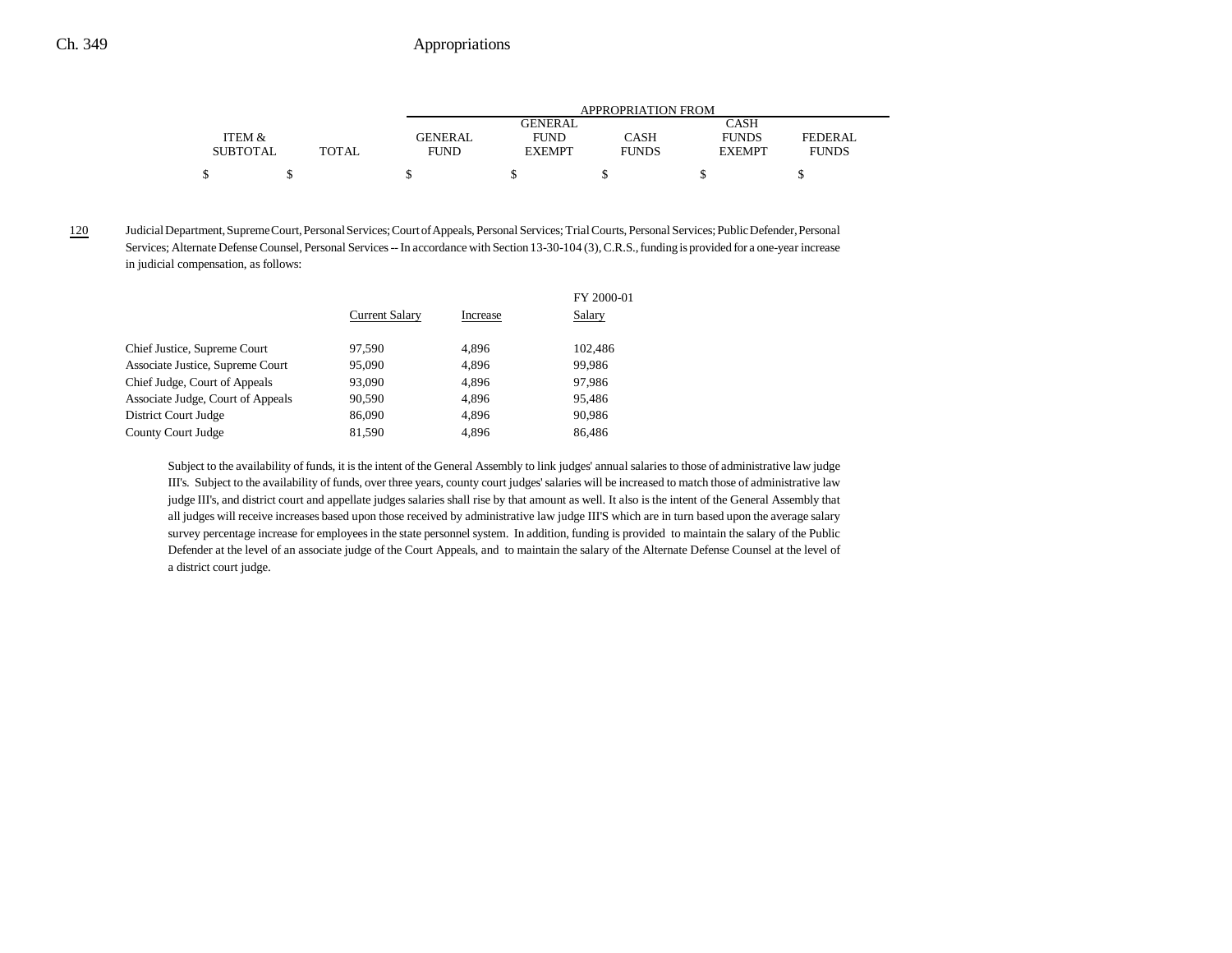|                 |       | APPROPRIATION FROM |                |              |               |              |
|-----------------|-------|--------------------|----------------|--------------|---------------|--------------|
|                 |       |                    | <b>GENERAL</b> |              | CASH          |              |
| ITEM &          |       | GENERAL            | <b>FUND</b>    | CASH         | <b>FUNDS</b>  | FEDERAL      |
| <b>SUBTOTAL</b> | TOTAL | <b>FUND</b>        | <b>EXEMPT</b>  | <b>FUNDS</b> | <b>EXEMPT</b> | <b>FUNDS</b> |
| \$              |       |                    |                |              |               |              |

120

 Judicial Department, Supreme Court, Personal Services; Court of Appeals, Personal Services; Trial Courts, Personal Services; Public Defender, Personal Services; Alternate Defense Counsel, Personal Services -- In accordance with Section 13-30-104 (3), C.R.S., funding is provided for a one-year increase in judicial compensation, as follows:

|                                   | <b>Current Salary</b> | Increase | FY 2000-01<br>Salary |
|-----------------------------------|-----------------------|----------|----------------------|
| Chief Justice, Supreme Court      | 97.590                | 4,896    | 102.486              |
| Associate Justice, Supreme Court  | 95,090                | 4,896    | 99.986               |
| Chief Judge, Court of Appeals     | 93,090                | 4,896    | 97.986               |
| Associate Judge, Court of Appeals | 90.590                | 4.896    | 95.486               |
| District Court Judge              | 86,090                | 4,896    | 90.986               |
| County Court Judge                | 81.590                | 4.896    | 86.486               |
|                                   |                       |          |                      |

Subject to the availability of funds, it is the intent of the General Assembly to link judges' annual salaries to those of administrative law judge III's. Subject to the availability of funds, over three years, county court judges' salaries will be increased to match those of administrative law judge III's, and district court and appellate judges salaries shall rise by that amount as well. It also is the intent of the General Assembly that all judges will receive increases based upon those received by administrative law judge III'S which are in turn based upon the average salary survey percentage increase for employees in the state personnel system. In addition, funding is provided to maintain the salary of the Public Defender at the level of an associate judge of the Court Appeals, and to maintain the salary of the Alternate Defense Counsel at the level of a district court judge.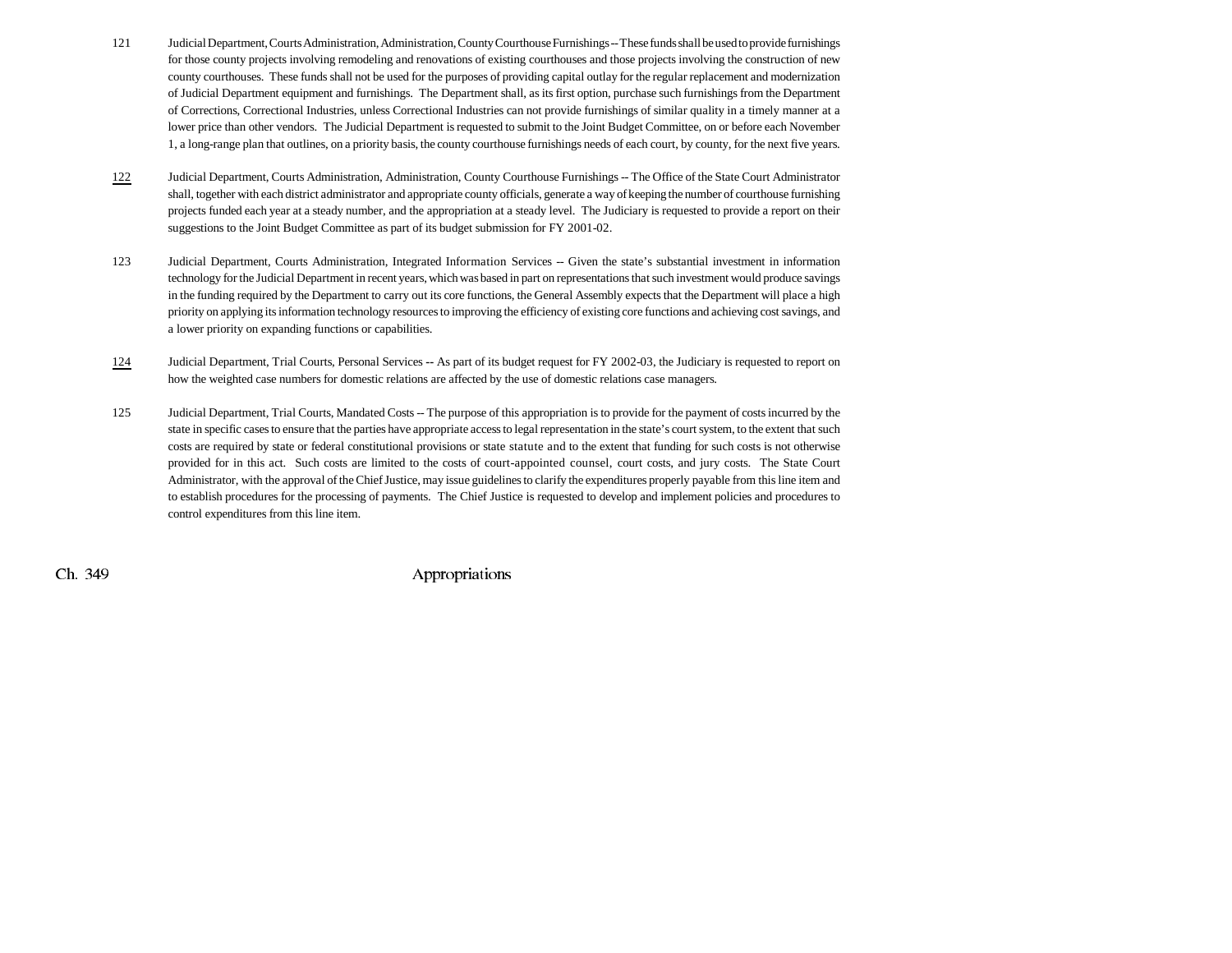- 121 Judicial Department, Courts Administration, Administration, County Courthouse Furnishings -- These funds shall be used to provide furnishings for those county projects involving remodeling and renovations of existing courthouses and those projects involving the construction of new county courthouses. These funds shall not be used for the purposes of providing capital outlay for the regular replacement and modernization of Judicial Department equipment and furnishings. The Department shall, as its first option, purchase such furnishings from the Department of Corrections, Correctional Industries, unless Correctional Industries can not provide furnishings of similar quality in a timely manner at a lower price than other vendors. The Judicial Department is requested to submit to the Joint Budget Committee, on or before each November 1, a long-range plan that outlines, on a priority basis, the county courthouse furnishings needs of each court, by county, for the next five years.
- 122 Judicial Department, Courts Administration, Administration, County Courthouse Furnishings -- The Office of the State Court Administrator shall, together with each district administrator and appropriate county officials, generate a way of keeping the number of courthouse furnishing projects funded each year at a steady number, and the appropriation at a steady level. The Judiciary is requested to provide a report on their suggestions to the Joint Budget Committee as part of its budget submission for FY 2001-02.
- 123 Judicial Department, Courts Administration, Integrated Information Services -- Given the state's substantial investment in information technology for the Judicial Department in recent years, which was based in part on representations that such investment would produce savings in the funding required by the Department to carry out its core functions, the General Assembly expects that the Department will place a high priority on applying its information technology resources to improving the efficiency of existing core functions and achieving cost savings, and a lower priority on expanding functions or capabilities.
- 124 Judicial Department, Trial Courts, Personal Services **--** As part of its budget request for FY 2002-03, the Judiciary is requested to report on how the weighted case numbers for domestic relations are affected by the use of domestic relations case managers.
- 125 Judicial Department, Trial Courts, Mandated Costs -- The purpose of this appropriation is to provide for the payment of costs incurred by the state in specific cases to ensure that the parties have appropriate access to legal representation in the state's court system, to the extent that such costs are required by state or federal constitutional provisions or state statute and to the extent that funding for such costs is not otherwise provided for in this act. Such costs are limited to the costs of court-appointed counsel, court costs, and jury costs. The State Court Administrator, with the approval of the Chief Justice, may issue guidelines to clarify the expenditures properly payable from this line item and to establish procedures for the processing of payments. The Chief Justice is requested to develop and implement policies and procedures to control expenditures from this line item.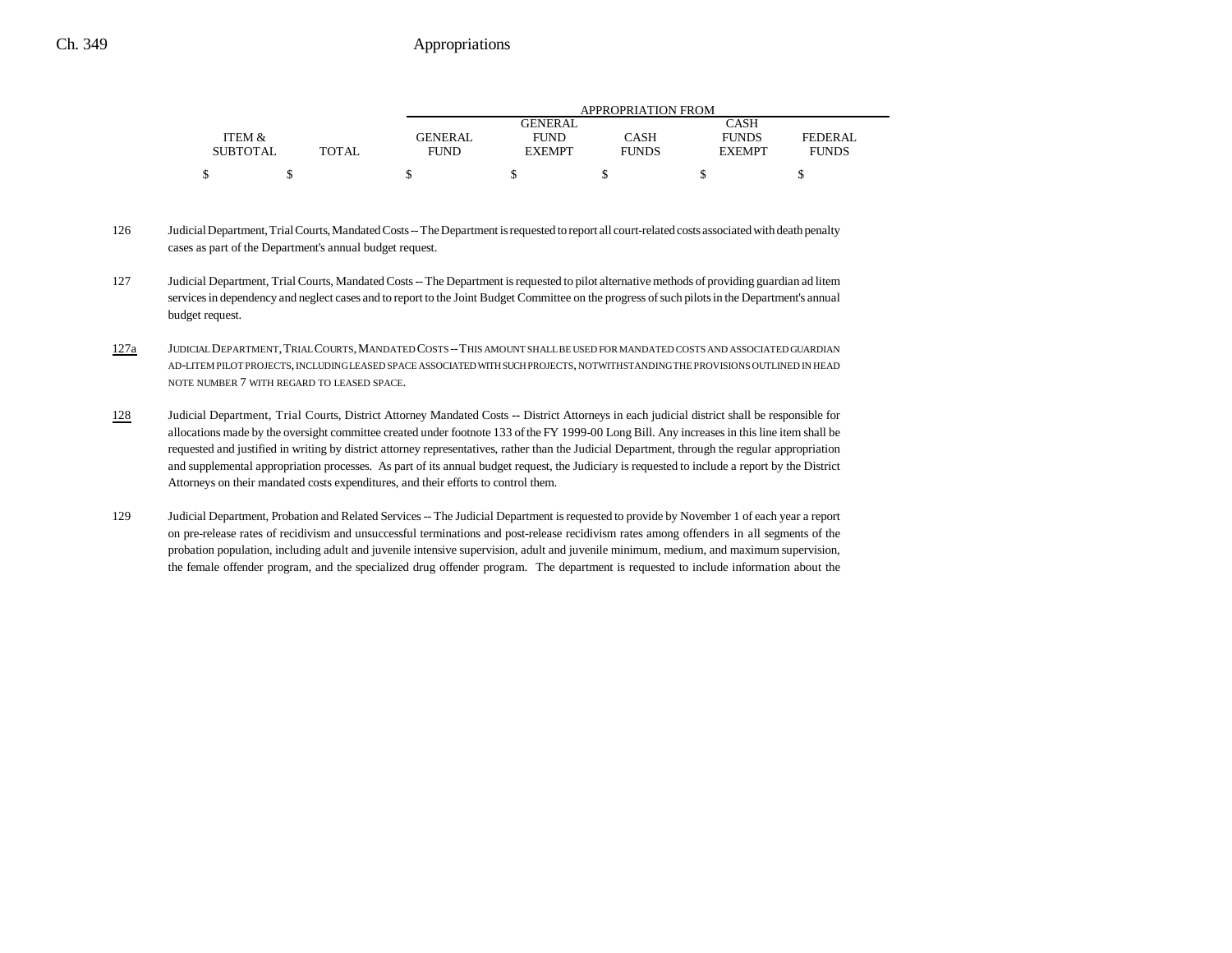|                 |       |                | APPROPRIATION FROM |              |               |              |  |
|-----------------|-------|----------------|--------------------|--------------|---------------|--------------|--|
|                 |       |                | GENERAL            |              | CASH          |              |  |
| ITEM &          |       | <b>GENERAL</b> | <b>FUND</b>        | CASH         | <b>FUNDS</b>  | FEDERAL      |  |
| <b>SUBTOTAL</b> | TOTAL | <b>FUND</b>    | <b>EXEMPT</b>      | <b>FUNDS</b> | <b>EXEMPT</b> | <b>FUNDS</b> |  |
|                 |       |                |                    |              |               |              |  |

- 126 Judicial Department, Trial Courts, Mandated Costs -- The Department is requested to report all court-related costs associated with death penalty cases as part of the Department's annual budget request.
- 127 Judicial Department, Trial Courts, Mandated Costs -- The Department is requested to pilot alternative methods of providing guardian ad litem services in dependency and neglect cases and to report to the Joint Budget Committee on the progress of such pilots in the Department's annual budget request.
- 127a JUDICIAL DEPARTMENT,TRIAL COURTS,MANDATED COSTS --THIS AMOUNT SHALL BE USED FOR MANDATED COSTS AND ASSOCIATED GUARDIAN AD-LITEM PILOT PROJECTS, INCLUDING LEASED SPACE ASSOCIATED WITH SUCH PROJECTS, NOTWITHSTANDING THE PROVISIONS OUTLINED IN HEAD NOTE NUMBER 7 WITH REGARD TO LEASED SPACE.
- 128 Judicial Department, Trial Courts, District Attorney Mandated Costs **--** District Attorneys in each judicial district shall be responsible for allocations made by the oversight committee created under footnote 133 of the FY 1999-00 Long Bill. Any increases in this line item shall be requested and justified in writing by district attorney representatives, rather than the Judicial Department, through the regular appropriation and supplemental appropriation processes. As part of its annual budget request, the Judiciary is requested to include a report by the District Attorneys on their mandated costs expenditures, and their efforts to control them.
- 129 Judicial Department, Probation and Related Services -- The Judicial Department is requested to provide by November 1 of each year a report on pre-release rates of recidivism and unsuccessful terminations and post-release recidivism rates among offenders in all segments of the probation population, including adult and juvenile intensive supervision, adult and juvenile minimum, medium, and maximum supervision, the female offender program, and the specialized drug offender program. The department is requested to include information about the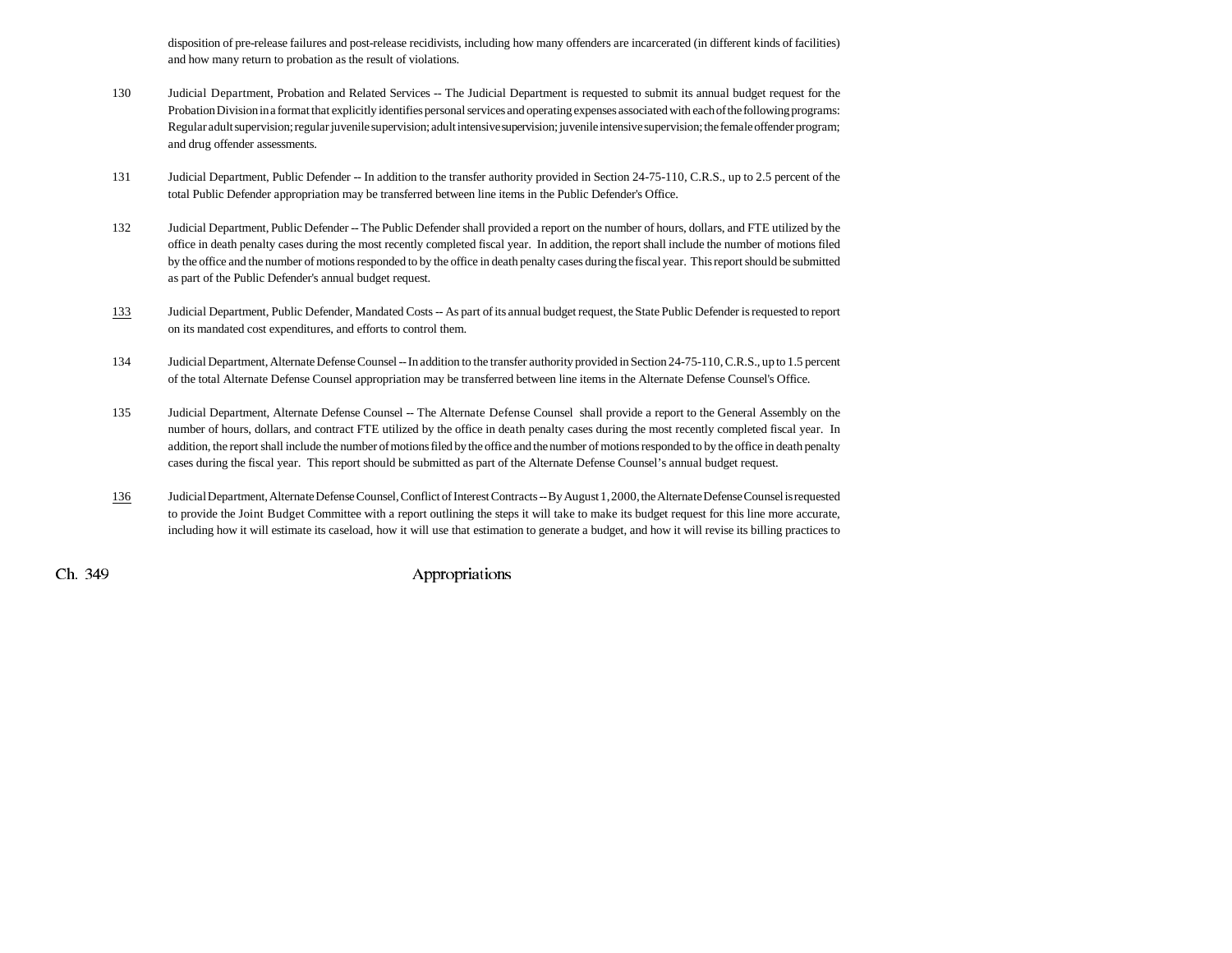disposition of pre-release failures and post-release recidivists, including how many offenders are incarcerated (in different kinds of facilities) and how many return to probation as the result of violations.

- 130 Judicial Department, Probation and Related Services -- The Judicial Department is requested to submit its annual budget request for the Probation Division in a format that explicitly identifies personal services and operating expenses associated with each of the following programs: Regular adult supervision; regular juvenile supervision; adult intensive supervision; juvenile intensive supervision; the female offender program; and drug offender assessments.
- 131 Judicial Department, Public Defender -- In addition to the transfer authority provided in Section 24-75-110, C.R.S., up to 2.5 percent of the total Public Defender appropriation may be transferred between line items in the Public Defender's Office.
- 132 Judicial Department, Public Defender -- The Public Defender shall provided a report on the number of hours, dollars, and FTE utilized by the office in death penalty cases during the most recently completed fiscal year. In addition, the report shall include the number of motions filed by the office and the number of motions responded to by the office in death penalty cases during the fiscal year. This report should be submitted as part of the Public Defender's annual budget request.
- 133 Judicial Department, Public Defender, Mandated Costs -- As part of its annual budget request, the State Public Defender is requested to report on its mandated cost expenditures, and efforts to control them.
- 134 Judicial Department, Alternate Defense Counsel -- In addition to the transfer authority provided in Section 24-75-110, C.R.S., up to 1.5 percent of the total Alternate Defense Counsel appropriation may be transferred between line items in the Alternate Defense Counsel's Office.
- 135 Judicial Department, Alternate Defense Counsel -- The Alternate Defense Counsel shall provide a report to the General Assembly on the number of hours, dollars, and contract FTE utilized by the office in death penalty cases during the most recently completed fiscal year. In addition, the report shall include the number of motions filed by the office and the number of motions responded to by the office in death penalty cases during the fiscal year. This report should be submitted as part of the Alternate Defense Counsel's annual budget request.
- 136 Judicial Department, Alternate Defense Counsel, Conflict of Interest Contracts -- By August 1, 2000, the Alternate Defense Counsel is requested to provide the Joint Budget Committee with a report outlining the steps it will take to make its budget request for this line more accurate, including how it will estimate its caseload, how it will use that estimation to generate a budget, and how it will revise its billing practices to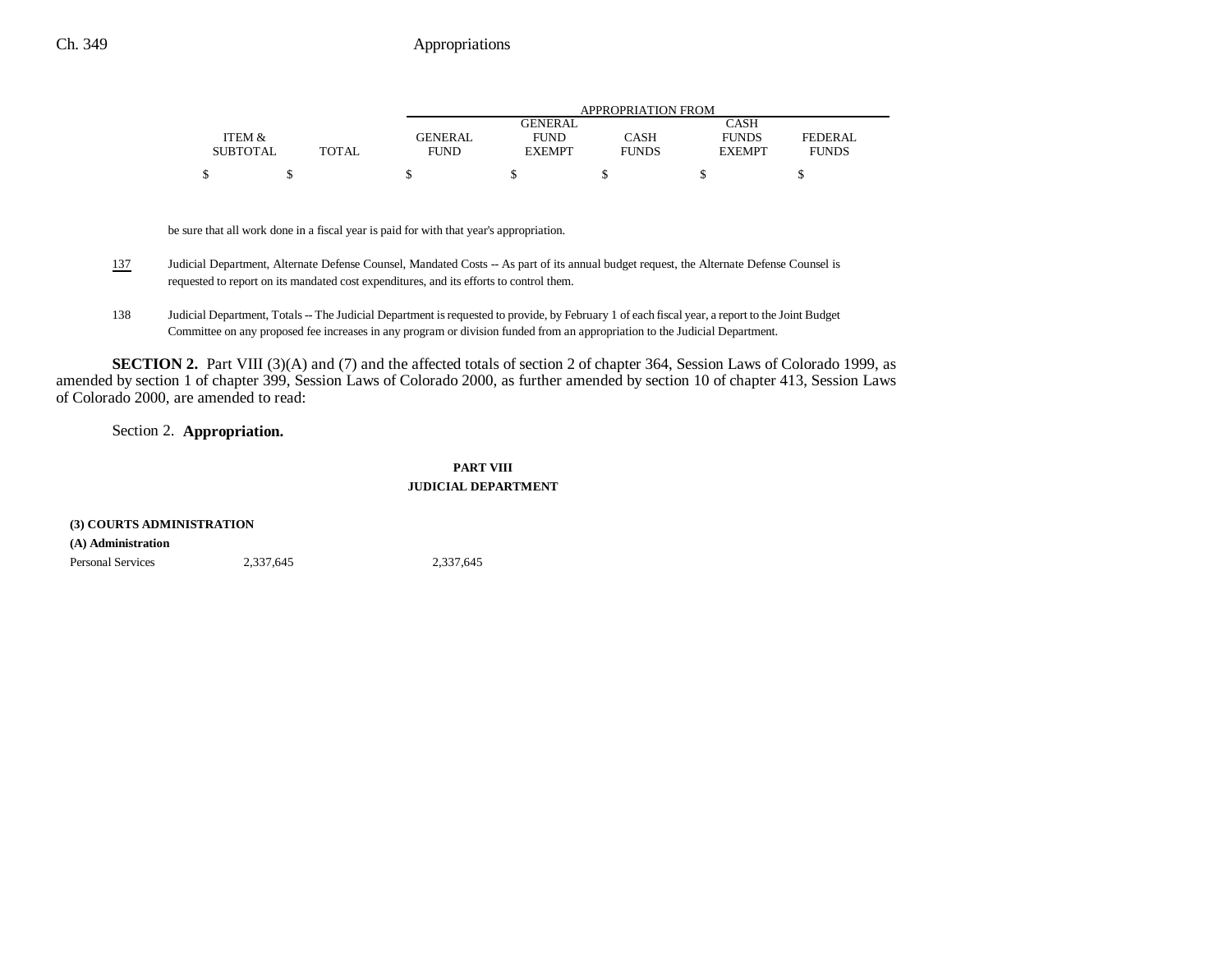|                 |       |                | APPROPRIATION FROM |              |               |                |  |
|-----------------|-------|----------------|--------------------|--------------|---------------|----------------|--|
|                 |       |                | <b>GENERAL</b>     |              | CASH          |                |  |
| ITEM &          |       | <b>GENERAL</b> | <b>FUND</b>        | CASH         | <b>FUNDS</b>  | <b>FEDERAL</b> |  |
| <b>SUBTOTAL</b> | TOTAL | <b>FUND</b>    | <b>EXEMPT</b>      | <b>FUNDS</b> | <b>EXEMPT</b> | <b>FUNDS</b>   |  |
|                 |       |                |                    |              |               |                |  |

be sure that all work done in a fiscal year is paid for with that year's appropriation.

- 137 Judicial Department, Alternate Defense Counsel, Mandated Costs -- As part of its annual budget request, the Alternate Defense Counsel is requested to report on its mandated cost expenditures, and its efforts to control them.
- 138 Judicial Department, Totals -- The Judicial Department is requested to provide, by February 1 of each fiscal year, a report to the Joint Budget Committee on any proposed fee increases in any program or division funded from an appropriation to the Judicial Department.

**SECTION 2.** Part VIII (3)(A) and (7) and the affected totals of section 2 of chapter 364, Session Laws of Colorado 1999, as amended by section 1 of chapter 399, Session Laws of Colorado 2000, as further amended by section 10 of chapter 413, Session Laws of Colorado 2000, are amended to read:

Section 2. **Appropriation.**

### **PART VIII JUDICIAL DEPARTMENT**

| (3) COURTS ADMINISTRATION |           |           |  |  |
|---------------------------|-----------|-----------|--|--|
| (A) Administration        |           |           |  |  |
| <b>Personal Services</b>  | 2.337.645 | 2.337.645 |  |  |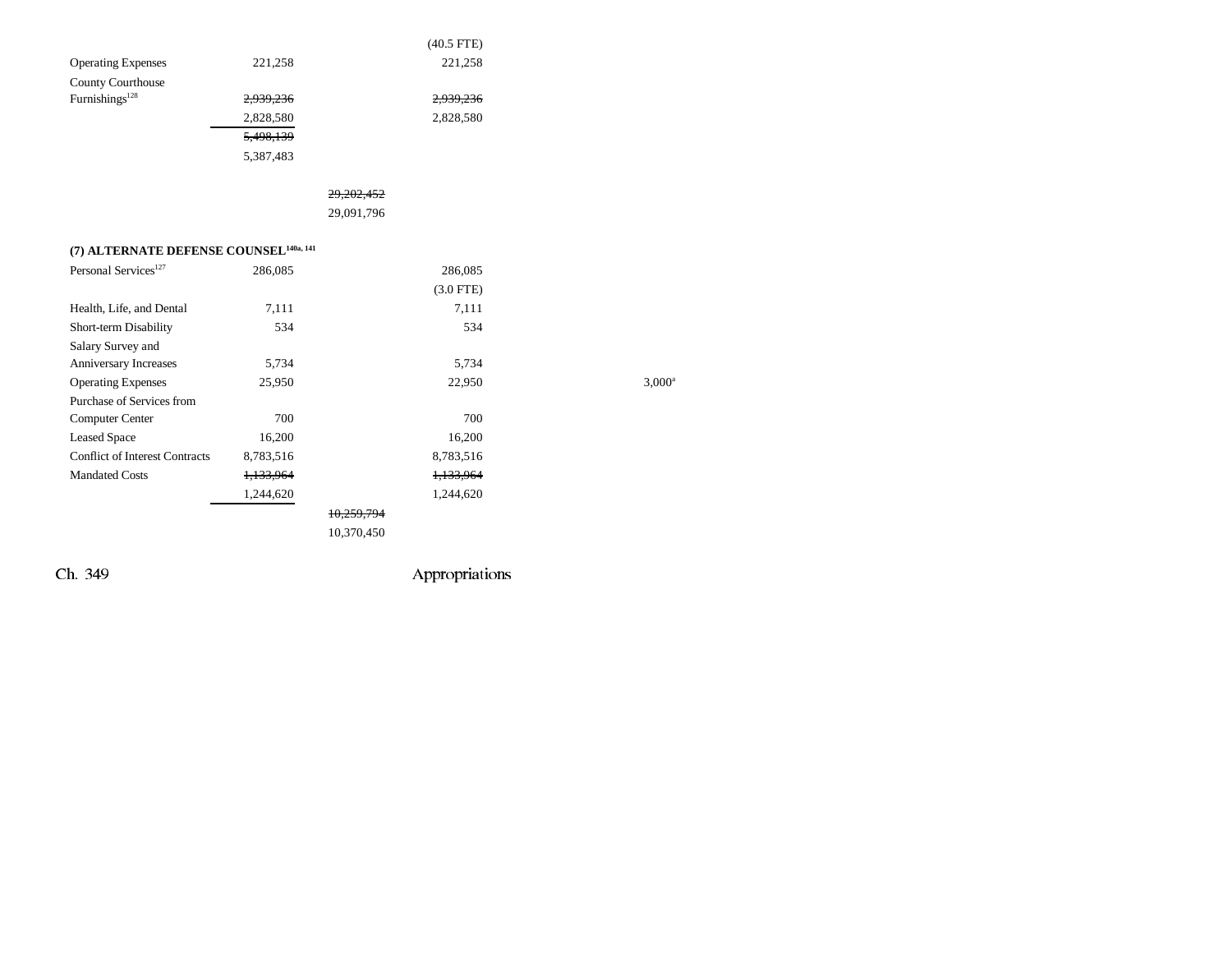|                                                    |                      | $(40.5$ FTE)         |           |
|----------------------------------------------------|----------------------|----------------------|-----------|
| <b>Operating Expenses</b>                          | 221,258              | 221,258              |           |
| County Courthouse                                  |                      |                      |           |
| Furnishings <sup>128</sup>                         | 2,939,236            | 2,939,236            |           |
|                                                    | 2,828,580            | 2,828,580            |           |
|                                                    | 5,498,139            |                      |           |
|                                                    | 5,387,483            |                      |           |
|                                                    |                      | 29.202.452           |           |
|                                                    |                      | 29,091,796           |           |
| (7) ALTERNATE DEFENSE COUNSEL <sup>140a, 141</sup> |                      |                      |           |
| Personal Services <sup>127</sup>                   | 286,085              | 286,085              |           |
|                                                    |                      | $(3.0$ FTE)          |           |
| Health, Life, and Dental                           | 7,111                | 7,111                |           |
| Short-term Disability                              | 534                  | 534                  |           |
| Salary Survey and                                  |                      |                      |           |
| Anniversary Increases                              | 5,734                | 5,734                |           |
| <b>Operating Expenses</b>                          | 25,950               | 22,950               | $3,000^a$ |
| Purchase of Services from                          |                      |                      |           |
| Computer Center                                    | 700                  | 700                  |           |
| <b>Leased Space</b>                                | 16,200               | 16,200               |           |
| <b>Conflict of Interest Contracts</b>              | 8,783,516            | 8,783,516            |           |
| <b>Mandated Costs</b>                              | <del>1,133,964</del> | <del>1,133,964</del> |           |
|                                                    | 1,244,620            | 1,244,620            |           |
|                                                    |                      | 10,259,794           |           |
|                                                    |                      | 10,370,450           |           |
|                                                    |                      |                      |           |